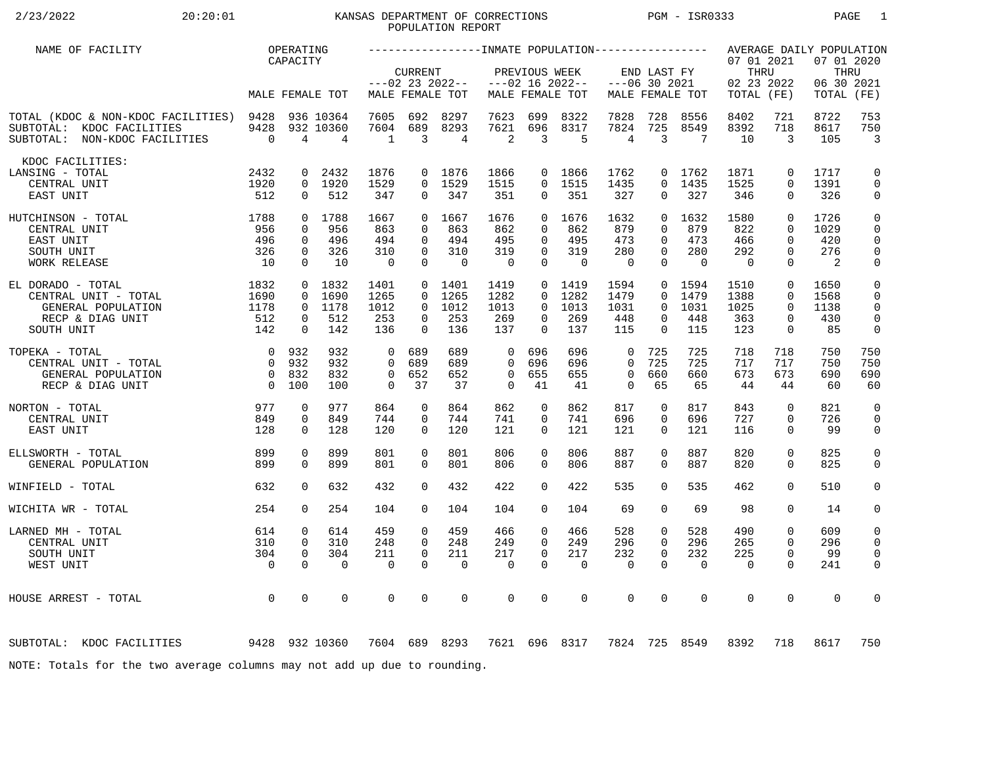# 2/23/2022 20:20:01 KANSAS DEPARTMENT OF CORRECTIONS PGM - ISR0333 PAGE 1 POPULATION REPORT

| NAME OF FACILITY                                                                                      |                        | OPERATING                |                             |                       |                      |                                |                       |                      |                    |                   |                      |                   |                                  |                         | AVERAGE DAILY POPULATION         |                              |
|-------------------------------------------------------------------------------------------------------|------------------------|--------------------------|-----------------------------|-----------------------|----------------------|--------------------------------|-----------------------|----------------------|--------------------|-------------------|----------------------|-------------------|----------------------------------|-------------------------|----------------------------------|------------------------------|
|                                                                                                       |                        | CAPACITY                 |                             |                       | <b>CURRENT</b>       | $---02$ 23 2022--              |                       | PREVIOUS WEEK        | $---02$ 16 2022--  | $---06$ 30 2021   | END LAST FY          |                   | 07 01 2021<br>THRU<br>02 23 2022 |                         | 07 01 2020<br>THRU<br>06 30 2021 |                              |
|                                                                                                       |                        |                          | MALE FEMALE TOT             |                       |                      | MALE FEMALE TOT                |                       |                      | MALE FEMALE TOT    |                   |                      | MALE FEMALE TOT   | TOTAL (FE)                       |                         | TOTAL                            | (FE)                         |
| TOTAL (KDOC & NON-KDOC FACILITIES) 9428<br>SUBTOTAL: KDOC FACILITIES<br>SUBTOTAL: NON-KDOC FACILITIES | 9428<br>$\overline{0}$ | $\overline{4}$           | 936 10364<br>932 10360<br>4 | 7605<br>7604<br>1     | 692<br>689<br>3      | 8297<br>8293<br>$\overline{4}$ | 7623<br>7621<br>2     | 699<br>696<br>3      | 8322<br>8317<br>-5 | 7828<br>7824<br>4 | 728<br>725<br>3      | 8556<br>8549<br>7 | 8402<br>8392<br>10               | 721<br>718<br>3         | 8722<br>8617<br>105              | 753<br>750<br>$\overline{3}$ |
| KDOC FACILITIES:                                                                                      |                        |                          |                             |                       |                      |                                |                       |                      |                    |                   |                      |                   |                                  |                         |                                  |                              |
| LANSING - TOTAL                                                                                       | 2432                   | $\mathbf{0}$             | 2432                        | 1876                  |                      | 0 1876                         | 1866                  |                      | 0 1866             | 1762              |                      | 0 1762            | 1871                             | $\mathbf 0$             | 1717                             | $\mathbf 0$                  |
| CENTRAL UNIT                                                                                          | 1920                   |                          | 0 1920                      | 1529                  |                      | 0 1529                         | 1515                  | $\Omega$             | 1515               | 1435              | $\Omega$             | 1435              | 1525                             | $\Omega$                | 1391                             | $\mathbf 0$                  |
| EAST UNIT                                                                                             | 512                    | $\mathbf{0}$             | 512                         | 347                   | 0                    | 347                            | 351                   | $\overline{0}$       | 351                | 327               | 0                    | 327               | 346                              | $\mathbf{0}$            | 326                              | 0                            |
| 1788<br>HUTCHINSON - TOTAL                                                                            |                        |                          | 0 1788                      | 1667                  |                      | 0, 1667                        | 1676                  |                      | 0, 1676            | 1632              | $\Omega$             | 1632              | 1580                             | $\Omega$                | 1726                             | $\mathsf 0$                  |
| CENTRAL UNIT                                                                                          | 956                    | $\Omega$                 | 956                         | 863                   | $\Omega$             | 863                            | 862                   | $\Omega$             | 862                | 879               | $\Omega$             | 879               | 822                              | $\Omega$                | 1029                             | $\mathbf 0$                  |
| EAST UNIT                                                                                             | 496                    | $\mathbf 0$              | 496                         | 494                   | $\Omega$             | 494                            | 495                   | $\Omega$             | 495                | 473               | $\Omega$             | 473               | 466                              | $\Omega$                | 420                              | $\mathbf 0$                  |
| SOUTH UNIT                                                                                            | 326                    | $\mathbf{0}$<br>$\Omega$ | 326<br>10                   | 310<br>$\overline{0}$ | $\Omega$<br>$\Omega$ | 310<br>$\Omega$                | 319<br>$\overline{0}$ | $\Omega$<br>$\Omega$ | 319<br>$\Omega$    | 280<br>$\Omega$   | $\Omega$<br>$\Omega$ | 280<br>$\bigcap$  | 292<br>$\overline{0}$            | $\mathbf 0$<br>$\Omega$ | 276<br>$\overline{2}$            | $\mathbf 0$                  |
| WORK RELEASE                                                                                          | 10                     |                          |                             |                       |                      |                                |                       |                      |                    |                   |                      |                   |                                  |                         |                                  | 0                            |
| EL DORADO - TOTAL                                                                                     | 1832                   |                          | 0 1832                      | 1401                  |                      | 0 1401                         | 1419                  |                      | $0$ 1419           | 1594              | $\overline{0}$       | 1594              | 1510                             | $\mathbf 0$             | 1650                             | $\mathbf 0$                  |
| CENTRAL UNIT - TOTAL                                                                                  | 1690                   | $\Omega$                 | 1690                        | 1265                  | $\Omega$             | 1265                           | 1282                  |                      | 0 1282             | 1479              | $\Omega$             | 1479              | 1388                             | $\Omega$                | 1568                             | $\mathbf 0$                  |
| GENERAL POPULATION                                                                                    | 1178                   |                          | 0 1178                      | 1012                  | $\Omega$             | 1012                           | 1013                  | $\Omega$             | 1013               | 1031              | $\Omega$             | 1031              | 1025                             | $\Omega$                | 1138                             | $\Omega$                     |
| RECP & DIAG UNIT                                                                                      | 512                    | $\mathbf{0}$             | 512                         | 253                   | $\Omega$             | 253                            | 269                   | $\Omega$             | 269                | 448               | 0                    | 448               | 363                              | $\mathbf 0$             | 430                              | $\mathbf 0$                  |
| SOUTH UNIT                                                                                            | 142                    | $\Omega$                 | 142                         | 136                   | $\Omega$             | 136                            | 137                   | $\Omega$             | 137                | 115               | $\Omega$             | 115               | 123                              | $\mathbf 0$             | 85                               | 0                            |
| TOPEKA - TOTAL                                                                                        |                        | 0 932                    | 932                         | $\overline{0}$        | 689                  | 689                            | 0                     | 696                  | 696                | $\mathbf 0$       | 725                  | 725               | 718                              | 718                     | 750                              | 750                          |
| CENTRAL UNIT - TOTAL                                                                                  | $\Omega$               | 932                      | 932                         | $\Omega$              | 689                  | 689                            | $\Omega$              | 696                  | 696                | $\Omega$          | 725                  | 725               | 717                              | 717                     | 750                              | 750                          |
| GENERAL POPULATION                                                                                    |                        | 0 832                    | 832                         | $\mathbf 0$           | 652                  | 652                            | $\mathbf 0$           | 655                  | 655                | $\mathbf 0$       | 660                  | 660               | 673                              | 673                     | 690                              | 690                          |
| RECP & DIAG UNIT                                                                                      | $\overline{0}$         | 100                      | 100                         | $\Omega$              | 37                   | 37                             | $\Omega$              | 41                   | 41                 | $\Omega$          | 65                   | 65                | 44                               | 44                      | 60                               | 60                           |
|                                                                                                       |                        |                          |                             |                       |                      |                                |                       |                      |                    |                   |                      |                   |                                  |                         |                                  |                              |
| 977<br>NORTON - TOTAL                                                                                 |                        | 0                        | 977                         | 864                   | 0                    | 864                            | 862                   | 0                    | 862                | 817               | 0                    | 817               | 843                              | $\mathbf 0$             | 821                              | $\mathbf 0$                  |
| CENTRAL UNIT<br>EAST UNIT                                                                             | 849<br>128             | 0<br>$\Omega$            | 849<br>128                  | 744<br>120            | 0<br>$\Omega$        | 744<br>120                     | 741<br>121            | 0<br>$\Omega$        | 741<br>121         | 696<br>121        | 0<br>$\Omega$        | 696<br>121        | 727<br>116                       | $\mathbf 0$<br>$\Omega$ | 726<br>99                        | $\mathbf 0$<br>0             |
|                                                                                                       |                        |                          |                             |                       |                      |                                |                       |                      |                    |                   |                      |                   |                                  |                         |                                  |                              |
| ELLSWORTH - TOTAL                                                                                     | 899                    | 0                        | 899                         | 801                   | $\Omega$             | 801                            | 806                   | $\Omega$             | 806                | 887               | $\Omega$             | 887               | 820                              | $\mathbf 0$             | 825                              | $\mathsf{O}$                 |
| GENERAL POPULATION                                                                                    | 899                    | $\Omega$                 | 899                         | 801                   | $\Omega$             | 801                            | 806                   | $\Omega$             | 806                | 887               | $\Omega$             | 887               | 820                              | $\Omega$                | 825                              | $\mathbf 0$                  |
|                                                                                                       |                        |                          |                             |                       |                      |                                |                       |                      |                    |                   |                      |                   |                                  |                         |                                  |                              |
| WINFIELD - TOTAL                                                                                      | 632                    | $\Omega$                 | 632                         | 432                   | $\Omega$             | 432                            | 422                   | $\Omega$             | 422                | 535               | $\Omega$             | 535               | 462                              | $\Omega$                | 510                              | $\mathbf 0$                  |
| WICHITA WR - TOTAL                                                                                    | 254                    | $\Omega$                 | 254                         | 104                   | $\Omega$             | 104                            | 104                   | $\Omega$             | 104                | 69                | 0                    | 69                | 98                               | $\Omega$                | 14                               | 0                            |
| LARNED MH - TOTAL                                                                                     | 614                    | 0                        | 614                         | 459                   | $\mathbf 0$          | 459                            | 466                   | $\mathbf 0$          | 466                | 528               | 0                    | 528               | 490                              | $\mathbf 0$             | 609                              | 0                            |
| CENTRAL UNIT                                                                                          | 310                    | $\mathbf{0}$             | 310                         | 248                   | $\Omega$             | 248                            | 249                   | $\Omega$             | 249                | 296               | $\Omega$             | 296               | 265                              | $\Omega$                | 296                              | 0                            |
| SOUTH UNIT                                                                                            | 304                    | $\mathbf 0$              | 304                         | 211                   | $\mathbf 0$          | 211                            | 217                   | 0                    | 217                | 232               | $\mathbf 0$          | 232               | 225                              | $\mathbf 0$             | 99                               | $\mathbf 0$                  |
| WEST UNIT                                                                                             | $\overline{0}$         | $\Omega$                 | $\Omega$                    | $\Omega$              | $\Omega$             | $\mathbf 0$                    | $\mathbf 0$           | $\Omega$             | $\Omega$           | $\mathbf 0$       | $\Omega$             | $\Omega$          | $\overline{0}$                   | $\Omega$                | 241                              | 0                            |
|                                                                                                       |                        |                          |                             |                       |                      |                                |                       |                      |                    |                   |                      |                   |                                  |                         |                                  |                              |
| HOUSE ARREST - TOTAL                                                                                  | $\overline{0}$         | $\mathbf 0$              | 0                           | $\mathbf 0$           | $\mathbf 0$          | $\mathbf 0$                    | $\mathbf 0$           | 0                    | $\mathbf 0$        | $\mathbf 0$       | 0                    | $\mathbf 0$       | $\mathbf 0$                      | $\mathbf 0$             | $\mathbf 0$                      | 0                            |
|                                                                                                       |                        |                          |                             |                       |                      |                                |                       |                      |                    |                   |                      |                   |                                  |                         |                                  |                              |
| 9428 932 10360<br>SUBTOTAL: KDOC FACILITIES                                                           |                        |                          |                             | 7604 689 8293         |                      |                                |                       |                      | 7621 696 8317      |                   |                      | 7824 725 8549     | 8392                             | 718                     | 8617                             | 750                          |
| NOTE: Totals for the two average columns may not add up due to rounding.                              |                        |                          |                             |                       |                      |                                |                       |                      |                    |                   |                      |                   |                                  |                         |                                  |                              |
|                                                                                                       |                        |                          |                             |                       |                      |                                |                       |                      |                    |                   |                      |                   |                                  |                         |                                  |                              |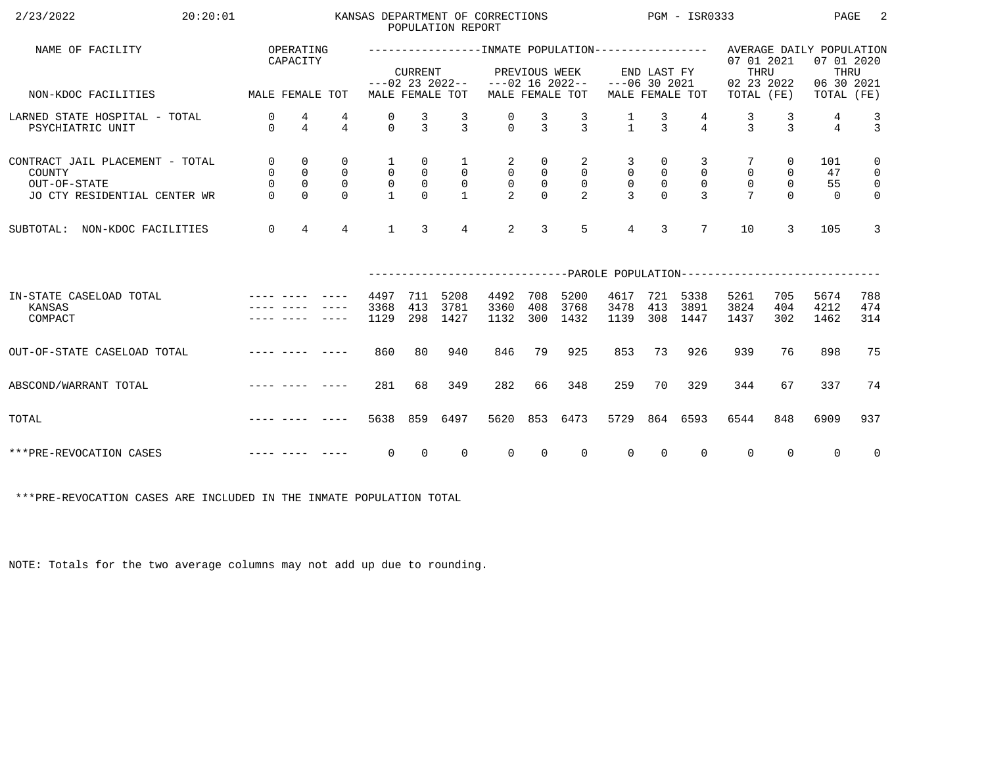| 2/23/2022<br>20:20:01                                                                                                                                                                                                                                     |                                                              |                                                               |                                              |                                                                |                                                             | POPULATION REPORT                                | KANSAS DEPARTMENT OF CORRECTIONS                  |                                                        |                                                         | $PGM - ISR0333$                                     |                                  |                                                 |                                                                                                  |                                               | PAGE                        | -2                                                                         |
|-----------------------------------------------------------------------------------------------------------------------------------------------------------------------------------------------------------------------------------------------------------|--------------------------------------------------------------|---------------------------------------------------------------|----------------------------------------------|----------------------------------------------------------------|-------------------------------------------------------------|--------------------------------------------------|---------------------------------------------------|--------------------------------------------------------|---------------------------------------------------------|-----------------------------------------------------|----------------------------------|-------------------------------------------------|--------------------------------------------------------------------------------------------------|-----------------------------------------------|-----------------------------|----------------------------------------------------------------------------|
| NAME OF FACILITY                                                                                                                                                                                                                                          |                                                              | OPERATING<br>CAPACITY                                         |                                              |                                                                | <b>CURRENT</b>                                              |                                                  |                                                   |                                                        | PREVIOUS WEEK                                           |                                                     | END LAST FY                      |                                                 | ----------------INMATE POPULATION---------------- AVERAGE DAILY POPULATION<br>07 01 2021<br>THRU |                                               | 07 01 2020<br>THRU          |                                                                            |
| MALE FEMALE TOT<br>NON-KDOC FACILITIES                                                                                                                                                                                                                    |                                                              |                                                               |                                              |                                                                |                                                             | MALE FEMALE TOT                                  | $---02$ 23 2022-- $---02$ 16 2022--               |                                                        | MALE FEMALE TOT                                         | $---06$ 30 2021                                     |                                  | MALE FEMALE TOT                                 | 02 23 2022<br>TOTAL (FE)                                                                         |                                               | 06 30 2021<br>TOTAL (FE)    |                                                                            |
| LARNED STATE HOSPITAL - TOTAL<br>PSYCHIATRIC UNIT                                                                                                                                                                                                         | 0<br>$\Omega$                                                | 4<br>$\overline{4}$                                           | 4<br>$\overline{4}$                          | 0<br>$\Omega$                                                  | $\frac{3}{3}$                                               | $\frac{3}{3}$                                    | $\begin{matrix} 0 \\ 0 \end{matrix}$              | $\frac{3}{3}$                                          | $\frac{3}{3}$                                           | $\frac{1}{1}$                                       | $\frac{3}{3}$                    | $\overline{4}$                                  | $\frac{3}{3}$                                                                                    | $\frac{3}{3}$                                 | 4<br>$\overline{4}$         | $\frac{3}{3}$                                                              |
| CONTRACT JAIL PLACEMENT - TOTAL<br>COUNTY<br>OUT-OF-STATE<br>JO CTY RESIDENTIAL CENTER WR                                                                                                                                                                 | $\overline{0}$<br>$\overline{0}$<br>$\mathsf{O}$<br>$\Omega$ | $\mathbf 0$<br>$\mathbf 0$<br>$\mathsf{O}\xspace$<br>$\Omega$ | 0<br>$\mathsf{O}$<br>$\mathbf 0$<br>$\Omega$ | $\mathbf{1}$<br>$\overline{0}$<br>$\mathsf{O}$<br>$\mathbf{1}$ | 0<br>$\begin{smallmatrix}0\\0\end{smallmatrix}$<br>$\Omega$ | $\mathbf{1}$<br>$\overline{0}$<br>$\overline{0}$ | $\overline{a}$<br>$\overline{0}$<br>$\frac{0}{2}$ | 0<br>$\overline{0}$<br>$\mathsf{O}\xspace$<br>$\Omega$ | 2<br>$\overline{0}$<br>$\overline{0}$<br>$\mathfrak{D}$ | 3<br>$\overline{0}$<br>$\mathsf{O}$<br>$\mathbf{z}$ | 0<br>$\mathsf{O}$<br>$\mathsf 0$ | 3<br>$\mathbf 0$<br>$\mathbf 0$<br>$\mathbf{z}$ | $\mathbf 0$<br>$\mathsf{O}$                                                                      | 0<br>$\mathsf{O}$<br>$\overline{0}$<br>$\cap$ | 101<br>47<br>55<br>$\Omega$ | $\mathbf 0$<br>$\overline{0}$<br>$\overline{\mathbf{0}}$<br>$\overline{0}$ |
| NON-KDOC FACILITIES<br>SUBTOTAL:                                                                                                                                                                                                                          | $\mathbf 0$                                                  | $\overline{4}$                                                | $\overline{4}$                               | $\mathbf{1}$                                                   | $\overline{3}$                                              | $\overline{4}$                                   | $\overline{2}$                                    | 3                                                      | 5                                                       | $\overline{4}$                                      | $\overline{3}$                   | $7\overline{ }$                                 | 10                                                                                               | 3                                             | 105                         | $\overline{3}$                                                             |
|                                                                                                                                                                                                                                                           |                                                              |                                                               |                                              |                                                                |                                                             |                                                  |                                                   |                                                        |                                                         |                                                     |                                  |                                                 | ---------------------------PAROLE POPULATION--------------------------                           |                                               |                             |                                                                            |
| IN-STATE CASELOAD TOTAL<br>KANSAS<br>COMPACT                                                                                                                                                                                                              |                                                              |                                                               |                                              | 4497<br>3368<br>1129                                           | 711<br>413<br>298                                           | 5208<br>3781<br>1427                             | 4492<br>3360<br>1132                              | 708<br>408<br>300                                      | 5200<br>3768<br>1432                                    | 4617<br>3478<br>1139                                | 413<br>308                       | 721 5338<br>3891<br>1447                        | 5261<br>3824<br>1437                                                                             | 705<br>404<br>302                             | 5674<br>4212<br>1462        | 788<br>474<br>314                                                          |
| OUT-OF-STATE CASELOAD TOTAL                                                                                                                                                                                                                               |                                                              |                                                               |                                              | 860                                                            | 80                                                          | 940                                              | 846                                               | 79                                                     | 925                                                     | 853                                                 | 73                               | 926                                             | 939                                                                                              | 76                                            | 898                         | 75                                                                         |
| ABSCOND/WARRANT TOTAL                                                                                                                                                                                                                                     |                                                              |                                                               |                                              | 281                                                            | 68                                                          | 349                                              | 282                                               | 66                                                     | 348                                                     | 259                                                 | 70                               | 329                                             | 344                                                                                              | 67                                            | 337                         | 74                                                                         |
| and the contract with the contract of the contract of the contract of the contract of the contract of the contract of the contract of the contract of the contract of the contract of the contract of the contract of the cont<br>TOTAL                   |                                                              |                                                               |                                              | 5638                                                           |                                                             | 859 6497                                         | 5620                                              | 853                                                    | 6473                                                    | 5729                                                |                                  | 864 6593                                        | 6544                                                                                             | 848                                           | 6909                        | 937                                                                        |
| and the contract with the contract of the contract of the contract of the contract of the contract of the contract of the contract of the contract of the contract of the contract of the contract of the contract of the cont<br>***PRE-REVOCATION CASES |                                                              |                                                               |                                              | $\overline{0}$                                                 | $\overline{0}$                                              | $\overline{0}$                                   | $\overline{0}$                                    | $\overline{0}$                                         | $\overline{0}$                                          | $\overline{0}$                                      | $\overline{0}$                   | $\mathbf{0}$                                    | $\overline{0}$                                                                                   | $\Omega$                                      | $\overline{0}$              | $\overline{\mathbf{0}}$                                                    |

\*\*\*PRE-REVOCATION CASES ARE INCLUDED IN THE INMATE POPULATION TOTAL

NOTE: Totals for the two average columns may not add up due to rounding.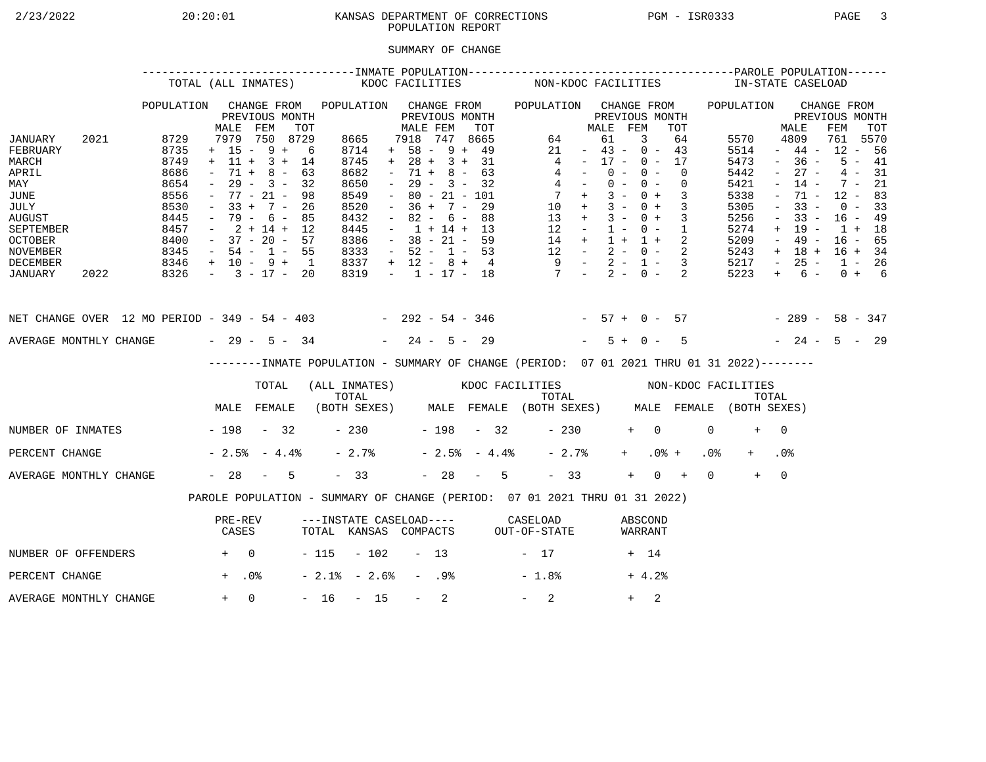## 2/23/2022 20:20:01 KANSAS DEPARTMENT OF CORRECTIONS PGM - ISR0333 PAGE 3POPULATION REPORT

## SUMMARY OF CHANGE

|                                                                                                                                    | TOTAL (ALL INMATES) |                                                                              |                                                                                                      |                                                                  |                                                       |                                                                              | KDOC FACILITIES |                                                                                                       |                          |                                                                                              |                | NON-KDOC FACILITIES                                                                       |                                                                                                         |                      |                         |                                                                                                |                                                             |                 | IN-STATE CASELOAD                                                            |                                                                                                                                         |                                                                                               |     |                                                                      |                                                     |
|------------------------------------------------------------------------------------------------------------------------------------|---------------------|------------------------------------------------------------------------------|------------------------------------------------------------------------------------------------------|------------------------------------------------------------------|-------------------------------------------------------|------------------------------------------------------------------------------|-----------------|-------------------------------------------------------------------------------------------------------|--------------------------|----------------------------------------------------------------------------------------------|----------------|-------------------------------------------------------------------------------------------|---------------------------------------------------------------------------------------------------------|----------------------|-------------------------|------------------------------------------------------------------------------------------------|-------------------------------------------------------------|-----------------|------------------------------------------------------------------------------|-----------------------------------------------------------------------------------------------------------------------------------------|-----------------------------------------------------------------------------------------------|-----|----------------------------------------------------------------------|-----------------------------------------------------|
| JANUARY<br>FEBRUARY                                                                                                                | 2021                | POPULATION<br>8729<br>8735                                                   | MALE<br>7979<br>$+ 15 - 9 +$                                                                         | FEM                                                              | CHANGE FROM<br>PREVIOUS MONTH<br>TOT<br>750 8729<br>6 | POPULATION<br>8665<br>8714                                                   |                 | MALE FEM<br>7918<br>$+ 58 - 9 + 49$                                                                   |                          | CHANGE FROM<br>PREVIOUS MONTH<br>747                                                         | TOT<br>8665    | POPULATION CHANGE FROM<br>64<br>21                                                        |                                                                                                         | MALE<br>61<br>$\sim$ | FEM                     | PREVIOUS MONTH<br>3<br>$43 - 0 - 43$                                                           | TOT<br>64                                                   |                 | POPULATION<br>5570<br>5514                                                   |                                                                                                                                         | MALE<br>4809<br>$-44 -$                                                                       | FEM | CHANGE FROM<br>PREVIOUS MONTH<br>761<br>$12 - 56$                    | TOT<br>5570                                         |
| MARCH<br>APRIL<br>MAY<br><b>JUNE</b><br>JULY<br><b>AUGUST</b><br>SEPTEMBER<br><b>OCTOBER</b><br><b>NOVEMBER</b><br><b>DECEMBER</b> |                     | 8749<br>8686<br>8654<br>8556<br>8530<br>8445<br>8457<br>8400<br>8345<br>8346 | $+$ 11 +<br>$71 +$<br>$ \,$<br>$33 +$<br>$\sim$<br>$-37 - 20 - 57$<br>$-54 - 1 - 55$<br>+ 10 - 9 + 1 | $3 +$<br>$8 -$<br>$29 - 3 -$<br>$77 - 21 -$<br>$7 -$<br>79 - 6 - | 14<br>63<br>32<br>98<br>26<br>85<br>$2 + 14 + 12$     | 8745<br>8682<br>8650<br>8549<br>8520<br>8432<br>8445<br>8386<br>8333<br>8337 |                 | $+ 28 + 3 + 31$<br>$\sim$<br>$\sim$<br>$\sim$<br>$\sim$<br>$\sim$<br>$-52 - 1 - 53$<br>$+ 12 - 8 + 4$ | 71 +<br>$36 +$<br>$82 -$ | $8 -$<br>$29 - 3 - 32$<br>$80 - 21 - 101$<br>$7 -$<br>6 –<br>$1 + 14 + 13$<br>$38 - 21 - 59$ | 63<br>29<br>88 | 13<br>12                                                                                  | 4<br>4<br>$4 -$<br>$7 +$<br>$10 +$<br>$+$<br>$\sim$ $ -$<br>14 +<br>$12 - 2 - 0 - 2$<br>$9 - 2 - 1 - 3$ | $\sim$ $-$           | $0 -$<br>$3 -$<br>$1 -$ | $17 - 0 - 17$<br>$0 -$<br>$0 - 0 -$<br>$0 +$<br>$3 - 0 +$<br>$3 - 0 +$<br>$0 - 1$<br>$1 + 1 +$ | $\Omega$<br>$\overline{0}$<br>3<br>$\overline{3}$<br>3<br>2 |                 | 5473<br>5442<br>5421<br>5338<br>5305<br>5256<br>5274<br>5209<br>5243<br>5217 | $\sim$<br>$\equiv$<br>$\overline{\phantom{a}}$<br>$\overline{\phantom{a}}$<br>$\overline{\phantom{m}}$<br>$+$<br>$ \,$<br>$+$<br>$\sim$ | $-36 -$<br>$27 -$<br>$14 -$<br>71 -<br>$33 -$<br>$33 -$<br>$19 -$<br>$49 -$<br>18 +<br>$25 -$ |     | $7 -$<br>$12 - 83$<br>$0 - 33$<br>$16 - 49$<br>$1 + 18$<br>$16 - 65$ | $5 - 41$<br>$4 - 31$<br>21<br>$16 + 34$<br>$1 - 26$ |
| JANUARY                                                                                                                            | 2022                | 8326                                                                         | $-3 - 17 - 20$                                                                                       |                                                                  |                                                       | 8319                                                                         |                 | $-1$ $-17$ $-18$                                                                                      |                          |                                                                                              |                | $7 - 2 - 0 -$                                                                             |                                                                                                         |                      |                         |                                                                                                | 2                                                           |                 | 5223                                                                         | $+$                                                                                                                                     | 6 –                                                                                           |     |                                                                      | $0 + 6$                                             |
| NET CHANGE OVER 12 MO PERIOD - 349 - 54 - 403 - 292 - 54 - 346 - 57 + 0 - 57                                                       |                     |                                                                              |                                                                                                      |                                                                  |                                                       |                                                                              |                 |                                                                                                       |                          |                                                                                              |                |                                                                                           |                                                                                                         |                      |                         |                                                                                                |                                                             |                 | $-289 - 58 - 347$                                                            |                                                                                                                                         |                                                                                               |     |                                                                      |                                                     |
| AVERAGE MONTHLY CHANGE $-29 - 5 - 34$                                                                                              |                     |                                                                              |                                                                                                      |                                                                  |                                                       |                                                                              |                 | $-24 - 5 - 29$                                                                                        |                          |                                                                                              |                |                                                                                           |                                                                                                         |                      | $5 +$                   | $0 -$                                                                                          | 5                                                           |                 |                                                                              |                                                                                                                                         | $-24 - 5 - 29$                                                                                |     |                                                                      |                                                     |
|                                                                                                                                    |                     |                                                                              |                                                                                                      |                                                                  |                                                       |                                                                              |                 |                                                                                                       |                          |                                                                                              |                | -------INMATE POPULATION - SUMMARY OF CHANGE (PERIOD: 07 01 2021 THRU 01 31 2022)-------- |                                                                                                         |                      |                         |                                                                                                |                                                             |                 |                                                                              |                                                                                                                                         |                                                                                               |     |                                                                      |                                                     |
|                                                                                                                                    |                     |                                                                              |                                                                                                      | TOTAL                                                            |                                                       | TOTAL                                                                        |                 |                                                                                                       |                          |                                                                                              |                | (ALL INMATES) WOOC FACILITIES NON-KDOC FACILITIES                                         | TOTAL                                                                                                   |                      |                         |                                                                                                |                                                             |                 |                                                                              | TOTAL                                                                                                                                   |                                                                                               |     |                                                                      |                                                     |
|                                                                                                                                    |                     |                                                                              | MALE FEMALE                                                                                          |                                                                  |                                                       |                                                                              |                 |                                                                                                       |                          |                                                                                              |                | (BOTH SEXES) MALE FEMALE (BOTH SEXES) MALE FEMALE (BOTH SEXES)                            |                                                                                                         |                      |                         |                                                                                                |                                                             |                 |                                                                              |                                                                                                                                         |                                                                                               |     |                                                                      |                                                     |
| NUMBER OF INMATES - 198 - 32                                                                                                       |                     |                                                                              |                                                                                                      |                                                                  |                                                       | $-230$                                                                       |                 | $-198 - 32$                                                                                           |                          |                                                                                              |                |                                                                                           | $-230$                                                                                                  |                      |                         | $+$ 0                                                                                          |                                                             | $\Omega$        | $+$                                                                          | $\overline{0}$                                                                                                                          |                                                                                               |     |                                                                      |                                                     |
| PERCENT CHANGE                                                                                                                     |                     |                                                                              | $-2.5% - 4.4%$                                                                                       |                                                                  |                                                       | $-2.7%$                                                                      |                 |                                                                                                       |                          | $-2.5% - 4.4%$                                                                               |                |                                                                                           | $-2.7%$                                                                                                 |                      | $+$                     |                                                                                                | $.0%$ +                                                     | .0 <sub>8</sub> |                                                                              | .0%                                                                                                                                     |                                                                                               |     |                                                                      |                                                     |
| AVERAGE MONTHLY CHANGE                                                                                                             |                     |                                                                              | $-28 - 5$                                                                                            |                                                                  |                                                       | $-33$                                                                        |                 |                                                                                                       |                          | $-28 - 5$                                                                                    |                |                                                                                           | $-33$                                                                                                   |                      | $+$                     |                                                                                                | $0 +$                                                       | $\Omega$        | $+$                                                                          | $\Omega$                                                                                                                                |                                                                                               |     |                                                                      |                                                     |
|                                                                                                                                    |                     |                                                                              |                                                                                                      |                                                                  |                                                       |                                                                              |                 |                                                                                                       |                          |                                                                                              |                | PAROLE POPULATION - SUMMARY OF CHANGE (PERIOD: 07 01 2021 THRU 01 31 2022)                |                                                                                                         |                      |                         |                                                                                                |                                                             |                 |                                                                              |                                                                                                                                         |                                                                                               |     |                                                                      |                                                     |
|                                                                                                                                    |                     |                                                                              | PRE-REV<br>CASES                                                                                     |                                                                  |                                                       |                                                                              |                 |                                                                                                       |                          |                                                                                              |                | ---INSTATE CASELOAD---- CASELOAD<br>TOTAL KANSAS COMPACTS OUT-OF-STATE                    |                                                                                                         |                      |                         | ABSCOND<br>WARRANT                                                                             |                                                             |                 |                                                                              |                                                                                                                                         |                                                                                               |     |                                                                      |                                                     |
| NUMBER OF OFFENDERS                                                                                                                |                     | $+ 0$                                                                        |                                                                                                      |                                                                  |                                                       | $-115 - 102$                                                                 |                 |                                                                                                       | $-13$                    |                                                                                              |                | $-17$                                                                                     |                                                                                                         |                      |                         | + 14                                                                                           |                                                             |                 |                                                                              |                                                                                                                                         |                                                                                               |     |                                                                      |                                                     |
| PERCENT CHANGE                                                                                                                     |                     |                                                                              | $+$ .0%                                                                                              |                                                                  |                                                       | $-2.1$ % $-2.6$ %                                                            |                 |                                                                                                       | - .9%                    |                                                                                              |                | $-1.8%$                                                                                   |                                                                                                         |                      |                         | $+4.2%$                                                                                        |                                                             |                 |                                                                              |                                                                                                                                         |                                                                                               |     |                                                                      |                                                     |
| AVERAGE MONTHLY CHANGE                                                                                                             |                     |                                                                              | $+$                                                                                                  | $\Omega$                                                         |                                                       | $-16$                                                                        | $-15$           |                                                                                                       | $-$                      | 2                                                                                            |                | 2                                                                                         |                                                                                                         |                      | $+$                     | 2                                                                                              |                                                             |                 |                                                                              |                                                                                                                                         |                                                                                               |     |                                                                      |                                                     |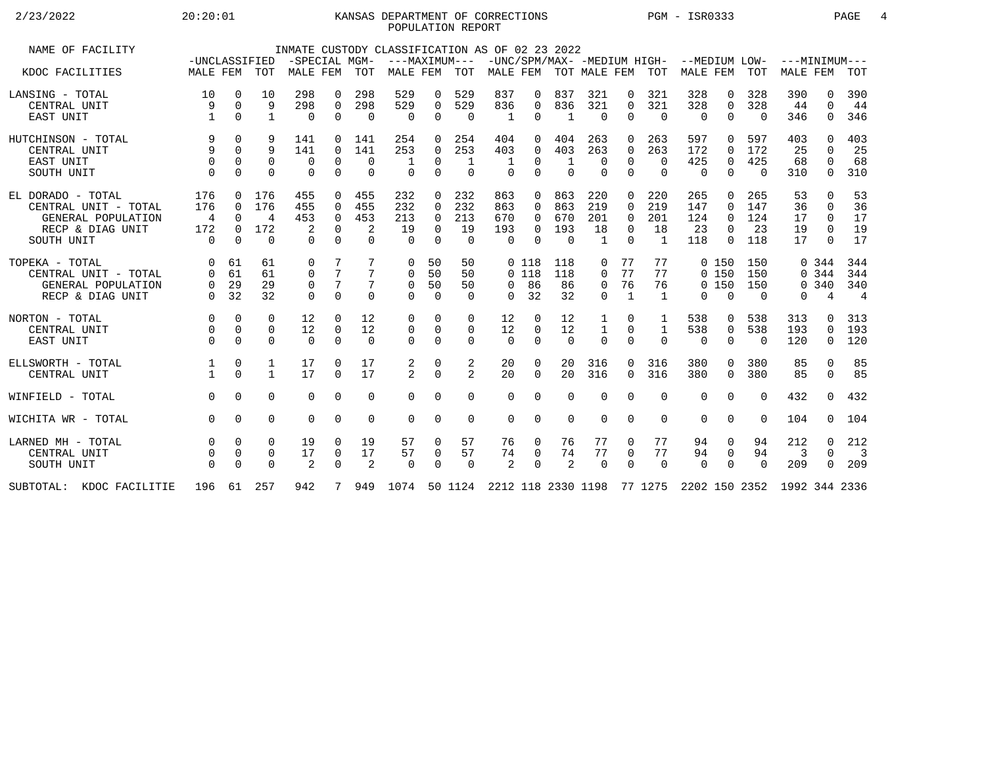## 2/23/2022 20:20:01 KANSAS DEPARTMENT OF CORRECTIONS PGM - ISR0333 PAGE 4 POPULATION REPORT

| NAME OF FACILITY         | -UNCLASSIFIED  |             |              | -SPECIAL MGM- |                 |            | INMATE CUSTODY CLASSIFICATION AS OF 02 23 2022<br>---MAXIMUM--- |             |                |          |          |          |                |              |                | -UNC/SPM/MAX- -MEDIUM HIGH- --MEDIUM LOW- |                |          | ---MINIMUM---               |          |                          |
|--------------------------|----------------|-------------|--------------|---------------|-----------------|------------|-----------------------------------------------------------------|-------------|----------------|----------|----------|----------|----------------|--------------|----------------|-------------------------------------------|----------------|----------|-----------------------------|----------|--------------------------|
| KDOC FACILITIES          | MALE FEM       |             | TOT          | MALE FEM      |                 | <b>TOT</b> | MALE FEM                                                        |             | TOT            | MALE FEM |          |          | TOT MALE FEM   |              | TOT            | MALE FEM                                  |                | TOT      | <b>MALE FEM</b>             |          | <b>TOT</b>               |
| LANSING - TOTAL          | 10             | $\mathbf 0$ | 10           | 298           | 0               | 298        | 529                                                             | 0           | 529            | 837      | 0        | 837      | 321            | 0            | 321            | 328                                       | 0              | 328      | 390                         | 0        | 390                      |
| CENTRAL UNIT             | 9              | $\Omega$    | 9            | 298           | $\mathbf 0$     | 298        | 529                                                             | $\mathbf 0$ | 529            | 836      | 0        | 836      | 321            | $\Omega$     | 321            | 328                                       | $\mathbf 0$    | 328      | 44                          | $\Omega$ | 44                       |
| EAST UNIT                |                | $\Omega$    | $\mathbf{1}$ | 0             | 0               | $\Omega$   | $\Omega$                                                        | $\mathbf 0$ | $\Omega$       | 1        | 0        | 1        | $\Omega$       | $\Omega$     | $\overline{0}$ | $\Omega$                                  | $\Omega$       | $\Omega$ | 346                         | $\Omega$ | 346                      |
| HUTCHINSON - TOTAL       | 9              | $\Omega$    | 9            | 141           | 0               | 141        | 254                                                             | $\Omega$    | 254            | 404      | 0        | 404      | 263            | $\Omega$     | 263            | 597                                       | $\Omega$       | 597      | 403                         | U        | 403                      |
| CENTRAL UNIT             | 9              | $\Omega$    | 9            | 141           | $\Omega$        | 141        | 253                                                             | $\Omega$    | 253            | 403      | 0        | 403      | 263            | $\Omega$     | 263            | 172                                       | $\Omega$       | 172      | 25                          | $\Omega$ | 25                       |
| EAST UNIT                | $\Omega$       | $\Omega$    | $\Omega$     | 0             | $\Omega$        | $\Omega$   |                                                                 | 0           | 1              | 1        | 0        |          | $\Omega$       | $\Omega$     | $\Omega$       | 425                                       | $\mathbf 0$    | 425      | 68                          | $\Omega$ | 68                       |
| SOUTH UNIT               | $\Omega$       | $\Omega$    | 0            | $\mathbf 0$   | $\mathbf 0$     | $\Omega$   | $\Omega$                                                        | $\mathbf 0$ | $\mathbf 0$    | $\Omega$ | 0        | $\Omega$ | $\Omega$       | 0            | $\Omega$       | $\Omega$                                  | $\overline{0}$ | $\Omega$ | 310                         | 0        | 310                      |
| EL DORADO - TOTAL        | 176            | $\Omega$    | 176          | 455           | $\Omega$        | 455        | 232                                                             | $\Omega$    | 232            | 863      | 0        | 863      | 220            | $\Omega$     | 220            | 265                                       | $\Omega$       | 265      | 53                          | $\Omega$ | 53                       |
| CENTRAL UNIT - TOTAL     | 176            | $\Omega$    | 176          | 455           | $\Omega$        | 455        | 232                                                             | $\Omega$    | 232            | 863      | 0        | 863      | 219            | $\Omega$     | 219            | 147                                       | $\Omega$       | 147      | 36                          | $\Omega$ | 36                       |
| GENERAL POPULATION       | $\overline{4}$ | $\Omega$    | 4            | 453           | $\Omega$        | 453        | 213                                                             | $\Omega$    | 213            | 670      | 0        | 670      | 201            | $\Omega$     | 201            | 124                                       | $\Omega$       | 124      | 17                          | $\Omega$ | 17                       |
| RECP & DIAG UNIT         | 172            | $\Omega$    | 172          | 2             | $\Omega$        | 2          | 19                                                              | $\Omega$    | 19             | 193      | 0        | 193      | 18             | $\Omega$     | 18             | 23                                        | $\Omega$       | 23       | 19                          | $\Omega$ | 19                       |
| SOUTH UNIT               | $\Omega$       | $\Omega$    | $\Omega$     | $\Omega$      | $\Omega$        | $\Omega$   | $\Omega$                                                        | $\Omega$    | $\Omega$       | $\Omega$ | $\Omega$ | $\Omega$ | $\overline{1}$ | $\cap$       | $\overline{1}$ | 118                                       | $\Omega$       | 118      | 17                          | $\Omega$ | 17                       |
| TOPEKA - TOTAL           | $\Omega$       | 61          | 61           | $\mathbf 0$   | 7               | 7          | 0                                                               | 50          | 50             |          | 0 118    | 118      | 0              | 77           | 77             |                                           | 0 150          | 150      |                             | 0 344    | 344                      |
| CENTRAL UNIT - TOTAL     | $\Omega$       | 61          | 61           | $\Omega$      | $7\overline{ }$ | 7          | $\Omega$                                                        | 50          | 50             |          | $0$ 118  | 118      | $\Omega$       | 77           | 77             |                                           | 0, 150         | 150      |                             | 0.344    | 344                      |
| GENERAL POPULATION       | 0              | 29          | 29           | 0             | $\overline{7}$  |            | $\mathbf 0$                                                     | 50          | 50             | $\Omega$ | 86       | 86       | $\mathbf 0$    | 76           | 76             |                                           | 0, 150         | 150      |                             | 0.340    | 340                      |
| RECP & DIAG UNIT         | $\Omega$       | 32          | 32           | $\Omega$      | $\Omega$        | $\Omega$   | $\Omega$                                                        | $\Omega$    | $\Omega$       | $\Omega$ | 32       | 32       | $\Omega$       | $\mathbf{1}$ | 1              | $\Omega$                                  | $\Omega$       | $\Omega$ | $\Omega$                    | 4        | $\overline{4}$           |
| NORTON - TOTAL           | $\Omega$       | $\Omega$    | $\Omega$     | 12            | $\Omega$        | 12         | 0                                                               | 0           | 0              | 12       | $\Omega$ | 12       | 1              | 0            | 1              | 538                                       | 0              | 538      | 313                         | $\Omega$ | 313                      |
| CENTRAL UNIT             | 0              | $\mathbf 0$ | 0            | 12            | $\mathbf 0$     | 12         | 0                                                               | 0           | $\mathbf 0$    | 12       | $\Omega$ | 12       | $\mathbf{1}$   | 0            | $\mathbf{1}$   | 538                                       | $\mathbf 0$    | 538      | 193                         | 0        | 193                      |
| EAST UNIT                | $\Omega$       | $\Omega$    | $\Omega$     | $\Omega$      | $\Omega$        | $\Omega$   | $\Omega$                                                        | $\Omega$    | $\Omega$       | $\Omega$ | $\Omega$ | $\Omega$ | $\Omega$       | $\Omega$     | $\Omega$       | $\Omega$                                  | $\Omega$       | $\Omega$ | 120                         | 0        | 120                      |
| ELLSWORTH - TOTAL        |                | 0           | 1            | 17            | $\Omega$        | 17         | 2                                                               | 0           | 2              | 20       | 0        | 20       | 316            | $\Omega$     | 316            | 380                                       | $\Omega$       | 380      | 85                          | $\Omega$ | 85                       |
| CENTRAL UNIT             |                | $\Omega$    | $\mathbf{1}$ | 17            | $\Omega$        | 17         | $\overline{a}$                                                  | $\Omega$    | $\overline{2}$ | 20       | $\Omega$ | 20       | 316            | $\Omega$     | 316            | 380                                       | $\Omega$       | 380      | 85                          | $\Omega$ | 85                       |
| WINFIELD - TOTAL         | $\Omega$       | $\Omega$    | $\Omega$     | $\Omega$      | $\Omega$        | $\Omega$   | $\Omega$                                                        | $\Omega$    | $\Omega$       | $\Omega$ | 0        | $\Omega$ | $\Omega$       | $\Omega$     | $\Omega$       | $\Omega$                                  | $\Omega$       | $\Omega$ | 432                         | $\Omega$ | 432                      |
| WICHITA WR - TOTAL       | $\Omega$       | $\Omega$    | $\Omega$     | $\Omega$      | $\Omega$        | $\Omega$   | $\Omega$                                                        | $\Omega$    | $\Omega$       | $\Omega$ | 0        | $\Omega$ | $\Omega$       | $\Omega$     | $\Omega$       | $\Omega$                                  | $\Omega$       | $\Omega$ | 104                         | $\Omega$ | 104                      |
| LARNED MH - TOTAL        | $\Omega$       | $\Omega$    | $\Omega$     | 19            | $\Omega$        | 19         | 57                                                              | $\Omega$    | 57             | 76       | 0        | 76       | 77             | $\Omega$     | 77             | 94                                        | $\mathbf 0$    | 94       | 212                         | $\Omega$ | 212                      |
| CENTRAL UNIT             |                | $\mathbf 0$ | 0            | 17            | 0               | 17         | 57                                                              | 0           | 57             | 74       | 0        | 74       | 77             | $\mathbf 0$  | 77             | 94                                        | 0              | 94       | 3                           | $\Omega$ | $\overline{\phantom{a}}$ |
| SOUTH UNIT               |                | $\Omega$    | $\Omega$     | 2             | $\Omega$        | 2          | $\Omega$                                                        | $\Omega$    | $\Omega$       | 2        | $\Omega$ | 2        | $\Omega$       | $\Omega$     | $\Omega$       | $\Omega$                                  | $\Omega$       | $\Omega$ | 209                         | $\Omega$ | 209                      |
| SUBTOTAL: KDOC FACILITIE | 196            |             | 61 257       | 942           | 7 <sup>7</sup>  |            | 949 1074 50 1124 2212 118 2330 1198 77 1275                     |             |                |          |          |          |                |              |                |                                           |                |          | 2202 150 2352 1992 344 2336 |          |                          |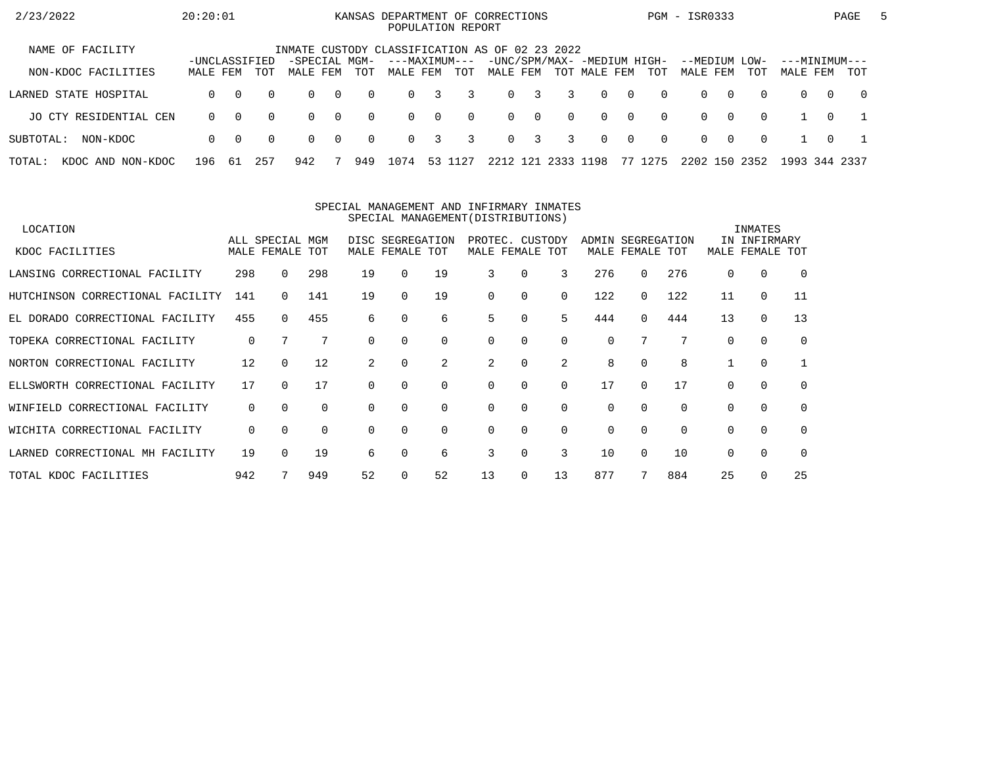| 2/23/2022                      | 20:20:01                  |          |          |                                                |                |          | KANSAS DEPARTMENT OF CORRECTIONS |          | POPULATION REPORT |          |                         |           |                                             |                |          | PGM - ISR0333        |          |             |                           |          | PAGE           | $\mathbf{b}$ |
|--------------------------------|---------------------------|----------|----------|------------------------------------------------|----------------|----------|----------------------------------|----------|-------------------|----------|-------------------------|-----------|---------------------------------------------|----------------|----------|----------------------|----------|-------------|---------------------------|----------|----------------|--------------|
| NAME OF FACILITY               |                           |          |          | INMATE CUSTODY CLASSIFICATION AS OF 02 23 2022 |                |          |                                  |          |                   |          |                         |           |                                             |                |          |                      |          |             |                           |          |                |              |
| NON-KDOC FACILITIES            | -UNCLASSIFIED<br>MALE FEM |          | TOT      | -SPECIAL MGM-<br>MALE FEM                      |                | TOT      | ---MAXIMUM---<br>MALE FEM        |          | TOT               | MALE FEM |                         |           | -UNC/SPM/MAX- -MEDIUM HIGH-<br>TOT MALE FEM |                | TOT      | --MEDIUM<br>MALE FEM |          | LOW-<br>TOT | ---MINIMUM---<br>MALE FEM |          | TOT            |              |
| LARNED STATE HOSPITAL          | $\Omega$                  | $\Omega$ | $\Omega$ | $\Omega$                                       | $\overline{0}$ | $\Omega$ | $\Omega$                         | 3        | 3                 | $\Omega$ | $\overline{\mathbf{3}}$ | 3         | $\Omega$                                    | $\overline{0}$ | $\Omega$ | $\Omega$             | $\Omega$ | $\Omega$    | $\Omega$                  | $\Omega$ | $\overline{0}$ |              |
| JO CTY RESIDENTIAL CEN         | $\Omega$                  | $\Omega$ | $\Omega$ | $\Omega$                                       | $\overline{0}$ | $\Omega$ | $\Omega$                         | $\Omega$ | $\Omega$          |          | $0 \quad 0$             | $\Omega$  | $\Omega$                                    | $\overline{0}$ | $\Omega$ | $\Omega$             | $\Omega$ | $\Omega$    |                           | $\Omega$ |                |              |
| SUBTOTAL:<br>NON-KDOC          | $\Omega$                  | - 0      | $\Omega$ | $\Omega$                                       | $\overline{0}$ | $\Omega$ | $\Omega$                         | 3        | 3                 |          | $0 \quad 3$             | 3         | $\Omega$                                    | $\overline{0}$ | $\Omega$ | $\Omega$             | റ        | $\Omega$    |                           | $\Omega$ |                |              |
| TOTAL:<br>NON-KDOC<br>KDOC AND | 196                       | -61      | 257      | 942                                            |                | 949      | 1074                             | 53 1     | L 27              | 2212 121 |                         | 2333 1198 |                                             |                | 77 1275  | 2202 150             |          | 2352        | 1993 344 2337             |          |                |              |

#### SPECIAL MANAGEMENT AND INFIRMARY INMATESSPECIAL MANAGEMENT(DISTRIBUTIONS)

| LOCATION                         |          |                                |          |          |                                     |          |                                    |          |          |                   |                 |     |          | INMATES                    |             |
|----------------------------------|----------|--------------------------------|----------|----------|-------------------------------------|----------|------------------------------------|----------|----------|-------------------|-----------------|-----|----------|----------------------------|-------------|
| KDOC FACILITIES                  |          | ALL SPECIAL MGM<br>MALE FEMALE | TOT      |          | DISC SEGREGATION<br>MALE FEMALE TOT |          | PROTEC. CUSTODY<br>MALE FEMALE TOT |          |          | ADMIN SEGREGATION | MALE FEMALE TOT |     | MALE     | IN INFIRMARY<br>FEMALE TOT |             |
|                                  |          |                                |          |          |                                     |          |                                    |          |          |                   |                 |     |          |                            |             |
| LANSING CORRECTIONAL FACILITY    | 298      | $\Omega$                       | 298      | 19       | $\Omega$                            | 19       | 3                                  | 0        | 3        | 276               | 0               | 276 | 0        | $\Omega$                   | $\Omega$    |
| HUTCHINSON CORRECTIONAL FACILITY | 141      |                                | 141      | 19       | $\Omega$                            | 19       | 0                                  | $\Omega$ | $\Omega$ | 122               | 0               | 122 | 11       | $\mathbf 0$                | 11          |
| EL DORADO CORRECTIONAL FACILITY  | 455      | $\Omega$                       | 455      | 6        | $\Omega$                            | 6        | 5                                  | 0        | 5        | 444               | $\Omega$        | 444 | 13       | $\mathbf 0$                | 13          |
| TOPEKA CORRECTIONAL FACILITY     | 0        | 7                              | 7        | 0        | $\Omega$                            | $\Omega$ | 0                                  | $\Omega$ | $\Omega$ | $\Omega$          |                 |     | 0        | $\Omega$                   | $\mathbf 0$ |
| NORTON CORRECTIONAL FACILITY     | 12       | $\Omega$                       | 12       | 2        | $\Omega$                            | 2        | 2                                  | 0        | 2        | 8                 | 0               | 8   |          | 0                          |             |
| ELLSWORTH CORRECTIONAL FACILITY  | 17       | $\Omega$                       | 17       |          | $\Omega$                            | $\Omega$ | $\Omega$                           | $\Omega$ | $\Omega$ | 17                | 0               | 17  | 0        | $\Omega$                   | $\mathbf 0$ |
| WINFIELD CORRECTIONAL FACILITY   | 0        | $\Omega$                       | $\Omega$ | $\Omega$ | $\Omega$                            | $\Omega$ | 0                                  | 0        | $\Omega$ | 0                 | $\Omega$        |     | 0        | 0                          | 0           |
| WICHITA CORRECTIONAL FACILITY    | $\Omega$ | $\Omega$                       | $\Omega$ | $\Omega$ | $\Omega$                            | $\Omega$ | 0                                  | $\Omega$ | $\Omega$ | $\Omega$          | $\Omega$        |     | 0        | $\Omega$                   | 0           |
| LARNED CORRECTIONAL MH FACILITY  | 19       |                                | 19       | 6        | $\Omega$                            | 6        | 3                                  | $\Omega$ | 3        | 10                | 0               | 10  | $\Omega$ | $\Omega$                   | $\Omega$    |
| TOTAL KDOC FACILITIES            | 942      |                                | 949      | 52       |                                     | 52       | 13                                 | 0        | 13       | 877               |                 | 884 | 25       | $\Omega$                   | 25          |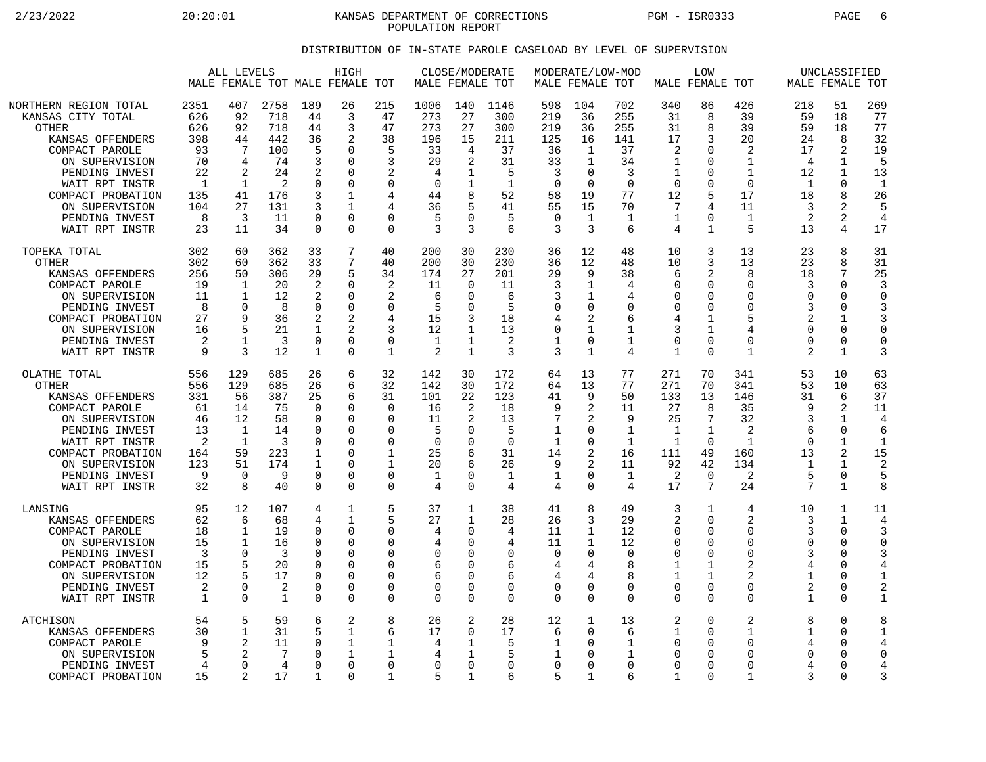2/23/2022 20:20:01 KANSAS DEPARTMENT OF CORRECTIONS PGM - ISR0333 PAGE 6 POPULATION REPORT

## DISTRIBUTION OF IN-STATE PAROLE CASELOAD BY LEVEL OF SUPERVISION

|                                                                                                                                                                                                                                   | ALL LEVELS<br>MALE FEMALE TOT MALE FEMALE TOT                              |                                                                                    |                                                                             |                                                                                                     | HIGH                                                                                                        |                                                                                                                     | MALE FEMALE TOT                                                              | CLOSE/MODERATE                                                                    |                                                                                 |                                                                                    | MODERATE/LOW-MOD<br>MALE FEMALE TOT                                                          |                                                                               | MALE FEMALE TOT                                                                       | LOW                                                                                              |                                                                                                                      |                                                                              | UNCLASSIFIED<br>MALE FEMALE TOT                                                   |                                                                                  |
|-----------------------------------------------------------------------------------------------------------------------------------------------------------------------------------------------------------------------------------|----------------------------------------------------------------------------|------------------------------------------------------------------------------------|-----------------------------------------------------------------------------|-----------------------------------------------------------------------------------------------------|-------------------------------------------------------------------------------------------------------------|---------------------------------------------------------------------------------------------------------------------|------------------------------------------------------------------------------|-----------------------------------------------------------------------------------|---------------------------------------------------------------------------------|------------------------------------------------------------------------------------|----------------------------------------------------------------------------------------------|-------------------------------------------------------------------------------|---------------------------------------------------------------------------------------|--------------------------------------------------------------------------------------------------|----------------------------------------------------------------------------------------------------------------------|------------------------------------------------------------------------------|-----------------------------------------------------------------------------------|----------------------------------------------------------------------------------|
| NORTHERN REGION TOTAL<br>KANSAS CITY TOTAL<br><b>OTHER</b><br>KANSAS OFFENDERS<br>COMPACT PAROLE<br>ON SUPERVISION<br>PENDING INVEST<br>WAIT RPT INSTR<br>COMPACT PROBATION<br>ON SUPERVISION<br>PENDING INVEST<br>WAIT RPT INSTR | 2351<br>626<br>626<br>398<br>93<br>70<br>22<br>-1<br>135<br>104<br>8<br>23 | 407<br>92<br>92<br>44<br>7<br>4<br>2<br>1<br>41<br>27<br>3<br>11                   | 2758<br>718<br>718<br>442<br>100<br>74<br>24<br>2<br>176<br>131<br>11<br>34 | 189<br>44<br>44<br>36<br>5<br>3<br>2<br>$\Omega$<br>3<br>3<br>$\Omega$<br>$\mathbf 0$               | 26<br>3<br>3<br>2<br>$\Omega$<br>$\Omega$<br>$\Omega$<br>$\Omega$<br>1<br>1<br>$\Omega$<br>$\Omega$         | 215<br>47<br>47<br>38<br>5<br>3<br>2<br>$\Omega$<br>4<br>4<br>$\Omega$<br>$\mathbf 0$                               | 1006<br>273<br>273<br>196<br>33<br>29<br>4<br>$\Omega$<br>44<br>36<br>5<br>3 | 140<br>27<br>27<br>15<br>4<br>2<br>8<br>U<br>3                                    | 1146<br>300<br>300<br>211<br>37<br>31<br>5<br>-1<br>52<br>41<br>5<br>6          | 598<br>219<br>219<br>125<br>36<br>33<br>3<br>$\Omega$<br>58<br>55<br>$\Omega$<br>3 | 104<br>36<br>36<br>16<br>1<br>$\mathbf{1}$<br>0<br>$\Omega$<br>19<br>15<br>$\mathbf{1}$<br>3 | 702<br>255<br>255<br>141<br>37<br>34<br>3<br>$\Omega$<br>77<br>70<br>1<br>6   | 340<br>31<br>31<br>17<br>2<br>1<br>1<br>$\Omega$<br>12<br>7<br>1<br>4                 | 86<br>8<br>8<br>3<br>$\Omega$<br>$\Omega$<br>0<br>$\Omega$<br>5<br>4<br>$\Omega$<br>$\mathbf{1}$ | 426<br>39<br>39<br>20<br>$\overline{2}$<br>$\mathbf{1}$<br>$\mathbf{1}$<br>$\Omega$<br>17<br>11<br>$\mathbf{1}$<br>5 | 218<br>59<br>59<br>24<br>17<br>4<br>12<br>$\mathbf{1}$<br>18<br>3<br>2<br>13 | 51<br>18<br>18<br>8<br>2<br>1<br>1<br>$\Omega$<br>8<br>2<br>2<br>4                | 269<br>77<br>77<br>32<br>19<br>5<br>13<br>$\mathbf{1}$<br>26<br>5<br>4<br>17     |
| TOPEKA TOTAL<br><b>OTHER</b><br>KANSAS OFFENDERS<br>COMPACT PAROLE<br>ON SUPERVISION<br>PENDING INVEST<br>COMPACT PROBATION<br>ON SUPERVISION<br>PENDING INVEST<br>WAIT RPT INSTR                                                 | 302<br>302<br>256<br>19<br>11<br>8<br>27<br>16<br>2<br>9                   | 60<br>60<br>50<br>1<br>-1<br>$\Omega$<br>9<br>5<br>$\mathbf 1$<br>3                | 362<br>362<br>306<br>20<br>12<br>8<br>36<br>21<br>3<br>12                   | 33<br>33<br>29<br>$\overline{2}$<br>2<br>$\mathbf 0$<br>2<br>1<br>$\overline{0}$<br>1               | 7<br>7<br>5<br>$\Omega$<br>$\Omega$<br>$\Omega$<br>2<br>2<br>$\mathbf 0$<br>$\Omega$                        | 40<br>40<br>34<br>$\overline{2}$<br>2<br>$\mathbf 0$<br>4<br>3<br>$\mathbf 0$<br>1                                  | 200<br>200<br>174<br>11<br>6<br>5<br>15<br>12<br>$\mathbf{1}$<br>2           | 30<br>30<br>27<br>$\Omega$<br>$\Omega$<br>$\Omega$<br>3<br>1<br>1<br>$\mathbf{1}$ | 230<br>230<br>201<br>11<br>6<br>5<br>18<br>13<br>2<br>3                         | 36<br>36<br>29<br>3<br>3<br>0<br>4<br>0<br>1<br>3                                  | 12<br>12<br>9<br>1<br>1<br>0<br>2<br>1<br>0<br>1                                             | 48<br>48<br>38<br>4<br>4<br>0<br>6<br>1<br>$\mathbf 1$<br>4                   | 10<br>10<br>6<br>$\Omega$<br>$\Omega$<br>0<br>4<br>3<br>$\mathbf 0$<br>$\mathbf{1}$   | 3<br>3<br>2<br>$\Omega$<br>$\Omega$<br>$\mathbf 0$<br>1<br>1<br>$\overline{0}$<br>$\Omega$       | 13<br>13<br>8<br>$\Omega$<br>$\Omega$<br>$\mathbf 0$<br>5<br>4<br>$\mathbf 0$<br>$\mathbf{1}$                        | 23<br>23<br>18<br>3<br>$\cap$<br>3<br>2<br>$\Omega$<br>$\Omega$<br>2         | 8<br>8<br>7<br>$\Omega$<br>$\Omega$<br>$\mathbf 0$<br>1<br>0<br>$\mathbf 0$<br>1  | 31<br>31<br>25<br>3<br>$\Omega$<br>3<br>3<br>$\Omega$<br>$\mathbf 0$<br>3        |
| OLATHE TOTAL<br><b>OTHER</b><br>KANSAS OFFENDERS<br>COMPACT PAROLE<br>ON SUPERVISION<br>PENDING INVEST<br>WAIT RPT INSTR<br>COMPACT PROBATION<br>ON SUPERVISION<br>PENDING INVEST<br>WAIT RPT INSTR                               | 556<br>556<br>331<br>61<br>46<br>13<br>2<br>164<br>123<br>9<br>32          | 129<br>129<br>56<br>14<br>12<br>1<br>$\mathbf 1$<br>59<br>51<br>$\Omega$<br>8      | 685<br>685<br>387<br>75<br>58<br>14<br>3<br>223<br>174<br>9<br>40           | 26<br>26<br>25<br>$\Omega$<br>$\mathbf 0$<br><sup>0</sup><br>0<br>1<br>1<br>$\mathbf 0$<br>$\Omega$ | 6<br>6<br>6<br>$\Omega$<br>$\Omega$<br>$\Omega$<br>$\Omega$<br>$\Omega$<br>$\Omega$<br>$\Omega$<br>$\Omega$ | 32<br>32<br>31<br>$\Omega$<br>$\mathbf 0$<br>$\Omega$<br>$\mathbf 0$<br>$\mathbf 1$<br>1<br>$\mathbf 0$<br>$\Omega$ | 142<br>142<br>101<br>16<br>11<br>5<br>0<br>25<br>20<br>$\mathbf{1}$<br>4     | 30<br>30<br>22<br>2<br>O<br>$\Omega$<br>6<br>6<br>$\Omega$<br>$\Omega$            | 172<br>172<br>123<br>18<br>13<br>5<br>$\Omega$<br>31<br>26<br>$\mathbf{1}$<br>4 | 64<br>64<br>41<br>9<br>7<br>$\mathbf{1}$<br>$\mathbf{1}$<br>14<br>9<br>1<br>4      | 13<br>13<br>9<br>2<br>2<br>0<br>0<br>2<br>2<br>0<br>0                                        | 77<br>77<br>50<br>11<br>9<br>1<br>$\mathbf 1$<br>16<br>11<br>$\mathbf 1$<br>4 | 271<br>271<br>133<br>27<br>25<br>$\mathbf{1}$<br>$\mathbf{1}$<br>111<br>92<br>2<br>17 | 70<br>70<br>13<br>8<br>7<br>$\mathbf{1}$<br>$\Omega$<br>49<br>42<br>$\overline{0}$<br>7          | 341<br>341<br>146<br>35<br>32<br>2<br>$\mathbf{1}$<br>160<br>134<br>$\overline{2}$<br>24                             | 53<br>53<br>31<br>q<br>3<br>6<br>$\cap$<br>13<br>-1<br>5<br>7                | 10<br>10<br>6<br>2<br>1<br>$\Omega$<br>$\mathbf 1$<br>2<br>1<br>0<br>$\mathbf{1}$ | 63<br>63<br>37<br>11<br>4<br>6<br>$\mathbf{1}$<br>15<br>$\overline{2}$<br>5<br>8 |
| LANSING<br>KANSAS OFFENDERS<br>COMPACT PAROLE<br>ON SUPERVISION<br>PENDING INVEST<br>COMPACT PROBATION<br>ON SUPERVISION<br>PENDING INVEST<br>WAIT RPT INSTR                                                                      | 95<br>62<br>18<br>15<br>3<br>15<br>12<br>2<br>$\mathbf{1}$                 | 12<br>6<br>$\mathbf 1$<br>$\mathbf{1}$<br>$\Omega$<br>5<br>$\Omega$<br>$\Omega$    | 107<br>68<br>19<br>16<br>3<br>20<br>17<br>2<br>$\mathbf{1}$                 | 4<br>4<br>$\mathbf 0$<br>$\Omega$<br>0<br>$\Omega$<br>0<br>0<br>$\Omega$                            | 1<br>1<br>$\Omega$<br>$\Omega$<br>$\Omega$<br>$\Omega$<br>$\Omega$<br>$\Omega$<br>$\Omega$                  | 5<br>5<br>$\mathbf 0$<br>$\Omega$<br>$\Omega$<br>0<br>$\mathbf 0$<br>$\mathbf 0$<br>$\Omega$                        | 37<br>27<br>4<br>4<br>0<br>6<br>6<br>0<br>$\Omega$                           | 1<br>1<br>0<br>U<br>$\Omega$<br>O<br>$\Omega$<br>0<br>$\Omega$                    | 38<br>28<br>4<br>4<br>0<br>6<br>6<br>0<br>$\Omega$                              | 41<br>26<br>11<br>11<br>$\mathbf 0$<br>4<br>4<br>0<br>$\Omega$                     | 8<br>3<br>$\mathbf{1}$<br>1<br>0<br>4<br>4<br>0<br>0                                         | 49<br>29<br>12<br>12<br>$\Omega$<br>8<br>$\mathsf{R}$<br>$\Omega$<br>$\Omega$ | 3<br>2<br>$\Omega$<br>$\Omega$<br>$\mathbf 0$<br>1<br>1<br>0<br>$\Omega$              | 1<br>$\Omega$<br>$\Omega$<br>$\Omega$<br>$\Omega$<br>1<br>1<br>0<br>$\Omega$                     | 4<br>2<br>$\mathbf 0$<br>$\Omega$<br>$\mathbf 0$<br>2<br>2<br>$\mathbf 0$<br>$\Omega$                                | 10<br>3<br>3<br>$\Omega$<br>3<br>4<br>1<br>$\overline{c}$<br>$\mathbf{1}$    | 1<br>1<br>$\Omega$<br>$\Omega$<br>$\mathbf 0$<br>$\Omega$<br>0<br>0<br>$\Omega$   | 11<br>4<br>3<br>$\Omega$<br>4<br>$\mathbf{1}$<br>$\overline{2}$<br>$\mathbf{1}$  |
| ATCHISON<br>KANSAS OFFENDERS<br>COMPACT PAROLE<br>ON SUPERVISION<br>PENDING INVEST<br>COMPACT PROBATION                                                                                                                           | 54<br>30<br>9<br>5<br>4<br>15                                              | 5<br>$\mathbf 1$<br>$\overline{2}$<br>$\mathfrak{D}$<br>$\Omega$<br>$\mathfrak{D}$ | 59<br>31<br>11<br>7<br>4<br>17                                              | 6<br>5<br>0<br>$\Omega$<br>$\Omega$<br>1                                                            | 2<br>1<br>1<br>$\mathbf{1}$<br>$\Omega$<br>$\Omega$                                                         | 8<br>6<br>1<br>1<br>$\Omega$<br>1                                                                                   | 26<br>17<br>4<br>4<br>0<br>5                                                 | 2<br>∩<br>1<br>$\Omega$<br>1                                                      | 28<br>17<br>5<br>5<br>$\Omega$<br>6                                             | 12<br>6<br>1<br>1<br>$\mathbf 0$<br>5                                              | 1<br>0<br>0<br>0<br>0<br>$\mathbf{1}$                                                        | 13<br>6<br>1<br>1<br>$\Omega$<br>6                                            | 2<br>1<br>0<br>$\Omega$<br>$\Omega$<br>1                                              | $\Omega$<br>$\Omega$<br>$\Omega$<br>$\Omega$<br>$\Omega$<br>$\Omega$                             | 2<br>1<br>0<br>$\Omega$<br>0<br>$\mathbf{1}$                                                                         | 8<br>1<br>4<br>$\Omega$<br>4<br>3                                            | $\Omega$<br>$\Omega$<br>0<br>$\Omega$<br>$\Omega$<br>$\Omega$                     | 8<br>1<br>4<br>$\Omega$<br>4<br>3                                                |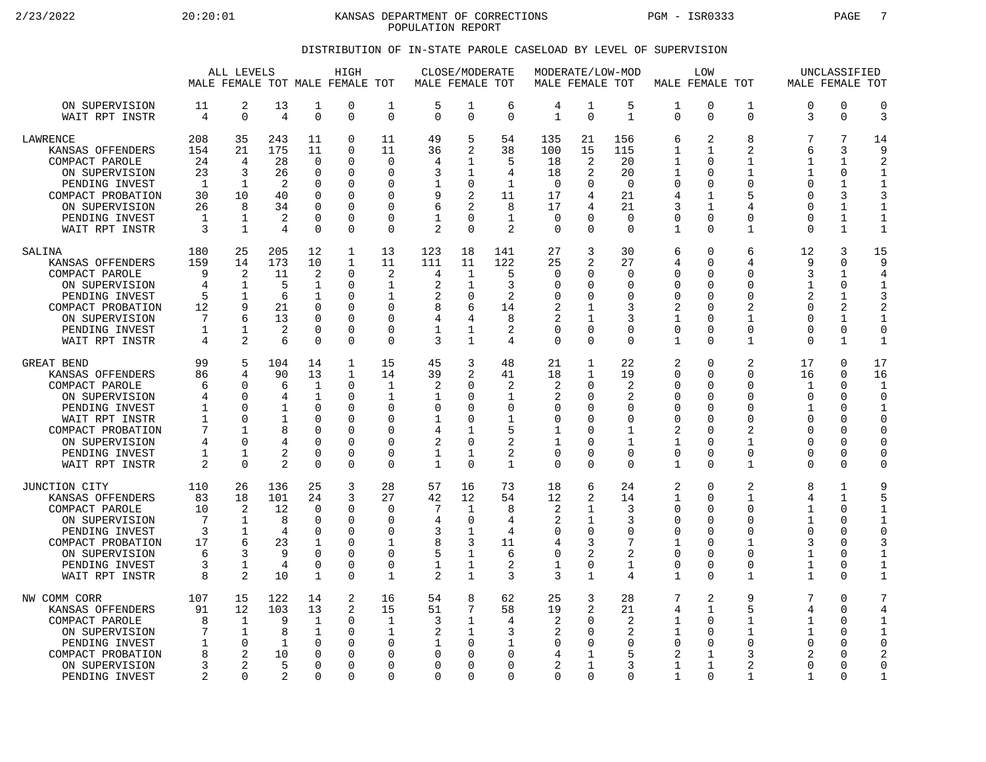2/23/2022 20:20:01 KANSAS DEPARTMENT OF CORRECTIONS PGM - ISR0333 PAGE 7 POPULATION REPORT

## DISTRIBUTION OF IN-STATE PAROLE CASELOAD BY LEVEL OF SUPERVISION

|                                                                                                                                                                                   |                                                    | ALL LEVELS<br>MALE FEMALE TOT MALE FEMALE TOT                                               |                                                                     |                                                                                                          | HIGH                                                                              |                                                                                                    | MALE FEMALE TOT                                                                 | CLOSE/MODERATE                                                                                        |                                                                    | MALE FEMALE TOT                                          |                                                                                                        | MODERATE/LOW-MOD                                                             |                                                                                                          | <b>LOW</b><br>MALE FEMALE TOT                                         |                                                                                                          | MALE FEMALE TOT                                                                  | UNCLASSIFIED                                                                                    |                                                                                                               |
|-----------------------------------------------------------------------------------------------------------------------------------------------------------------------------------|----------------------------------------------------|---------------------------------------------------------------------------------------------|---------------------------------------------------------------------|----------------------------------------------------------------------------------------------------------|-----------------------------------------------------------------------------------|----------------------------------------------------------------------------------------------------|---------------------------------------------------------------------------------|-------------------------------------------------------------------------------------------------------|--------------------------------------------------------------------|----------------------------------------------------------|--------------------------------------------------------------------------------------------------------|------------------------------------------------------------------------------|----------------------------------------------------------------------------------------------------------|-----------------------------------------------------------------------|----------------------------------------------------------------------------------------------------------|----------------------------------------------------------------------------------|-------------------------------------------------------------------------------------------------|---------------------------------------------------------------------------------------------------------------|
| ON SUPERVISION<br>WAIT RPT INSTR                                                                                                                                                  | 11<br>4                                            | 2<br>$\Omega$                                                                               | 13<br>4                                                             | 1<br>$\Omega$                                                                                            | 0<br>0                                                                            | 1<br>$\Omega$                                                                                      | 5<br>$\Omega$                                                                   | 1<br>$\Omega$                                                                                         | 6<br>$\Omega$                                                      | 4<br>$\mathbf{1}$                                        | $\mathbf 1$<br>$\Omega$                                                                                | 5<br>$\mathbf{1}$                                                            | 1<br>$\Omega$                                                                                            | 0<br>0                                                                | $\mathbf 1$<br>$\Omega$                                                                                  | 0<br>3                                                                           | $\mathbf 0$<br>$\Omega$                                                                         | $\mathbf 0$<br>3                                                                                              |
| LAWRENCE<br>KANSAS OFFENDERS<br>COMPACT PAROLE<br>ON SUPERVISION<br>PENDING INVEST<br>COMPACT PROBATION<br>ON SUPERVISION<br>PENDING INVEST<br>WAIT RPT INSTR                     | 208<br>154<br>24<br>23<br>-1<br>30<br>26<br>1<br>3 | 35<br>21<br>4<br>3<br>-1<br>10<br>8<br>1<br>$\mathbf{1}$                                    | 243<br>175<br>28<br>26<br>$\overline{2}$<br>40<br>34<br>2<br>4      | 11<br>11<br>$\Omega$<br>$\mathbf 0$<br>$\Omega$<br>$\Omega$<br>$\Omega$<br>$\Omega$<br>$\Omega$          | 0<br>0<br>$\Omega$<br>O<br>0<br>O<br>0<br>0<br>0                                  | 11<br>11<br>$\Omega$<br>$\mathbf 0$<br>$\Omega$<br>$\Omega$<br>$\Omega$<br>$\Omega$<br>$\mathbf 0$ | 49<br>36<br>4<br>3<br>9<br>6<br>1<br>$\overline{2}$                             | 5<br>$\overline{2}$<br>1<br>1<br>$\mathbf 0$<br>2<br>$\overline{2}$<br>$\Omega$<br>$\Omega$           | 54<br>38<br>5<br>4<br>$\mathbf{1}$<br>11<br>8<br>$\mathbf{1}$<br>2 | 135<br>100<br>18<br>18<br>$\Omega$<br>17<br>17<br>0<br>0 | 21<br>15<br>2<br>2<br><sup>0</sup><br>4<br>4<br>$\Omega$                                               | 156<br>115<br>20<br>20<br>$\Omega$<br>21<br>21<br>$\Omega$<br>$\Omega$       | 6<br>1<br>1<br>1<br>$\mathbf 0$<br>4<br>3<br>$\mathbf 0$<br>$\mathbf{1}$                                 | 2<br>1<br>U<br>0<br>$\Omega$<br>1<br>1<br>$\Omega$<br>0               | 8<br>$\overline{2}$<br>1<br>$\mathbf{1}$<br>$\Omega$<br>5<br>4<br>$\Omega$<br>$\mathbf{1}$               | 7<br>6<br>1<br>1<br>$\Omega$<br>U<br>0<br>0<br>0                                 | 7<br>3<br>1<br>0<br>$\mathbf{1}$<br>3<br>$\mathbf{1}$<br>1<br>$\mathbf{1}$                      | 14<br>9<br>$\overline{2}$<br>$\mathbf 1$<br>$\mathbf{1}$<br>3<br>$\mathbf{1}$<br>$\mathbf{1}$<br>$\mathbf{1}$ |
| SALINA<br>KANSAS OFFENDERS<br>COMPACT PAROLE<br>ON SUPERVISION<br>PENDING INVEST<br>COMPACT PROBATION<br>ON SUPERVISION<br>PENDING INVEST<br>WAIT RPT INSTR                       | 180<br>159<br>9<br>4<br>5<br>12<br>7<br>1<br>4     | 25<br>14<br>2<br>$\mathbf 1$<br>$\mathbf{1}$<br>9<br>6<br>1<br>2                            | 205<br>173<br>11<br>5<br>6<br>21<br>13<br>2<br>6                    | 12<br>10<br>2<br>$\mathbf 1$<br>1<br>$\Omega$<br>$\Omega$<br>$\Omega$<br>$\Omega$                        | $\mathbf{1}$<br>1<br>0<br>0<br>O<br>0<br>O<br>0<br>0                              | 13<br>11<br>2<br>1<br>-1<br>$\Omega$<br>$\Omega$<br>$\mathbf 0$<br>$\Omega$                        | 123<br>111<br>4<br>$\overline{2}$<br>2<br>8<br>4<br>1<br>3                      | 18<br>11<br>1<br>1<br>$\Omega$<br>6<br>4<br>1<br>1                                                    | 141<br>122<br>5<br>3<br>2<br>14<br>8<br>2<br>4                     | 27<br>25<br>0<br>0<br>O<br>2<br>2<br>0<br>0              | 3<br>2<br><sup>n</sup><br><sup>0</sup><br><sup>0</sup><br>$\Omega$<br>$\Omega$                         | 30<br>27<br>0<br>$\mathbf 0$<br>$\Omega$<br>3<br>3<br>0<br>$\Omega$          | 6<br>4<br>$\mathbf 0$<br>$\mathbf 0$<br>$\mathbf 0$<br>2<br>$\mathbf{1}$<br>$\mathbf 0$<br>$\mathbf{1}$  | 0<br>$\Omega$<br>$\Omega$<br>0<br>U<br>U<br>$\Omega$<br>0<br>$\Omega$ | 6<br>4<br>$\Omega$<br>$\Omega$<br>$\Omega$<br>2<br>1<br>$\mathbf 0$<br>1                                 | 12<br>9<br>ζ<br>1<br>2<br>0<br>$\Omega$<br>0<br>0                                | 3<br>$\Omega$<br>1<br>$\mathbf 0$<br>1<br>2<br>$\mathbf{1}$<br>0<br>1                           | 15<br>9<br>4<br>$\mathbf{1}$<br>3<br>$\overline{2}$<br>$\mathbf{1}$<br>$\mathbf 0$<br>$\mathbf{1}$            |
| GREAT BEND<br>KANSAS OFFENDERS<br>COMPACT PAROLE<br>ON SUPERVISION<br>PENDING INVEST<br>WAIT RPT INSTR<br>COMPACT PROBATION<br>ON SUPERVISION<br>PENDING INVEST<br>WAIT RPT INSTR | 99<br>86<br>6<br>4<br>1<br>1<br>7<br>4<br>1<br>2   | 5<br>$\overline{4}$<br>∩<br>$\Omega$<br>$\Omega$<br>∩<br>1<br>∩<br>$\mathbf{1}$<br>$\Omega$ | 104<br>90<br>6<br>4<br>$\mathbf 1$<br>1<br>8<br>2<br>$\overline{2}$ | 14<br>13<br>$\mathbf 1$<br>1<br>$\Omega$<br>$\cap$<br>$\mathbf 0$<br>$\Omega$<br>$\mathbf 0$<br>$\Omega$ | $\mathbf 1$<br>$\mathbf{1}$<br>$\Omega$<br>0<br>0<br>O<br>0<br>O<br>$\Omega$<br>0 | 15<br>14<br>$\mathbf{1}$<br>$\mathbf{1}$<br>$\Omega$<br>$\Omega$<br>0<br>$\Omega$<br>0<br>$\Omega$ | 45<br>39<br>$\overline{2}$<br>1<br>$\Omega$<br>1<br>4<br>2<br>1<br>$\mathbf{1}$ | 3<br>$\overline{2}$<br>$\Omega$<br>$\Omega$<br>$\Omega$<br>$\Omega$<br>1<br>$\Omega$<br>1<br>$\Omega$ | 48<br>41<br>2<br>1<br>0<br>1<br>5<br>2<br>2<br>$\mathbf{1}$        | 21<br>18<br>2<br>2<br>0<br>0<br>1<br>1<br>0<br>0         | 1<br>$\mathbf{1}$<br><sup>0</sup><br>$\Omega$<br>O<br><sup>n</sup><br>$\Omega$<br>$\Omega$<br>$\Omega$ | 22<br>19<br>2<br>2<br>$\mathbf 0$<br>0<br>$\mathbf{1}$<br>1<br>0<br>$\Omega$ | 2<br>$\mathbf 0$<br>$\mathbf 0$<br>0<br>$\mathbf 0$<br>$\Omega$<br>2<br>1<br>$\mathbf 0$<br>$\mathbf{1}$ | 0<br>0<br>0<br>$\Omega$<br>0<br>U<br>0<br>U<br>0<br>$\Omega$          | 2<br>$\mathbf 0$<br>$\Omega$<br>$\Omega$<br>$\Omega$<br>$\Omega$<br>2<br>1<br>0<br>$\mathbf{1}$          | 17<br>16<br>1<br>$\Omega$<br>$\mathbf{1}$<br>$\Omega$<br>0<br>O<br>0<br>$\Omega$ | 0<br>0<br>$\Omega$<br>$\Omega$<br>$\Omega$<br>$\Omega$<br>$\Omega$<br>$\Omega$<br>0<br>$\Omega$ | 17<br>16<br>$\mathbf{1}$<br>$\Omega$<br>$\mathbf{1}$<br>C<br>$\mathbf 0$<br>0<br>0<br>$\Omega$                |
| JUNCTION CITY<br>KANSAS OFFENDERS<br>COMPACT PAROLE<br>ON SUPERVISION<br>PENDING INVEST<br>COMPACT PROBATION<br>ON SUPERVISION<br>PENDING INVEST<br>WAIT RPT INSTR                | 110<br>83<br>10<br>7<br>3<br>17<br>6<br>3<br>8     | 26<br>18<br>$\overline{2}$<br>1<br>1<br>6<br>3<br>$\mathbf{1}$<br>$\overline{2}$            | 136<br>101<br>12<br>8<br>4<br>23<br>9<br>4<br>10                    | 25<br>24<br>$\Omega$<br>$\Omega$<br>$\Omega$<br>1<br>$\mathbf 0$<br>$\Omega$<br>1                        | 3<br>3<br>0<br>$\Omega$<br>0<br>0<br>0<br>O<br>0                                  | 28<br>27<br>$\Omega$<br>$\Omega$<br>$\Omega$<br>1<br>$\mathbf 0$<br>$\Omega$<br>1                  | 57<br>42<br>7<br>4<br>3<br>8<br>5<br>1<br>$\mathfrak{D}$                        | 16<br>12<br>1<br>$\Omega$<br>1<br>3<br>1<br>1<br>$\mathbf{1}$                                         | 73<br>54<br>8<br>4<br>4<br>11<br>6<br>2<br>3                       | 18<br>12<br>2<br>2<br>0<br>4<br>0<br>1<br>3              | 6<br>2<br>1<br>1<br>$\Omega$<br>3<br>2<br>$\Omega$<br>$\mathbf{1}$                                     | 24<br>14<br>3<br>3<br>0<br>7<br>2<br>1<br>4                                  | 2<br>$\mathbf 1$<br>$\mathbf 0$<br>$\mathbf 0$<br>$\mathbf 0$<br>1<br>$\mathbf 0$<br>$\mathbf 0$<br>1    | 0<br>$\Omega$<br>0<br>U<br>0<br>U<br>0<br>0<br>$\Omega$               | 2<br>$\mathbf{1}$<br>$\mathbf 0$<br>$\Omega$<br>$\Omega$<br>1<br>$\mathbf 0$<br>$\Omega$<br>$\mathbf{1}$ | 8<br>4<br>1<br>1<br>0<br>3<br>1<br>1<br>$\mathbf{1}$                             | 1<br>$\mathbf{1}$<br>$\Omega$<br>$\Omega$<br>$\Omega$<br>$\Omega$<br>0<br>$\Omega$<br>$\Omega$  | 9<br>5<br>$\mathbf{1}$<br>$\mathbf{1}$<br>$\mathbf 0$<br>3<br>$\mathbf{1}$<br>$\mathbf{1}$<br>$\mathbf{1}$    |
| NW COMM CORR<br>KANSAS OFFENDERS<br>COMPACT PAROLE<br>ON SUPERVISION<br>PENDING INVEST<br>COMPACT PROBATION<br>ON SUPERVISION<br>PENDING INVEST                                   | 107<br>91<br>8<br>7<br>1<br>8<br>3<br>2            | 15<br>12<br>1<br>$\mathbf{1}$<br>$\Omega$<br>2<br>2<br>$\Omega$                             | 122<br>103<br>9<br>8<br>1<br>10<br>5<br>2                           | 14<br>13<br>1<br>$\mathbf 1$<br>$\Omega$<br>$\mathbf 0$<br>$\Omega$<br>$\Omega$                          | 2<br>2<br>0<br>0<br>$\Omega$<br>O<br>O<br>U                                       | 16<br>15<br>1<br><sup>0</sup><br>0<br>$\Omega$<br>$\Omega$                                         | 54<br>51<br>3<br>2<br>1<br>$\Omega$<br>O<br>$\Omega$                            | 8<br>7<br>1<br>1<br>$\Omega$<br>$\Omega$<br>$\Omega$<br>$\Omega$                                      | 62<br>58<br>4<br>3<br>1<br>0<br>0<br>$\Omega$                      | 25<br>19<br>2<br>2<br>0<br>4<br>$\overline{a}$<br>0      | 3<br>2<br><sup>0</sup><br>$\Omega$<br><sup>0</sup><br>1<br>0                                           | 28<br>21<br>2<br>2<br>$\Omega$<br>5<br>3<br>$\Omega$                         | 7<br>4<br>1<br>1<br>0<br>2<br>1<br>1                                                                     | 2<br>1<br>$\Omega$<br>0<br>$\Omega$<br>1<br>1<br>$\Omega$             | 9<br>5<br>1<br>$\mathbf{1}$<br>$\Omega$<br>3<br>$\overline{2}$<br>1                                      | 7<br>4<br>1<br>$\mathbf{1}$<br>$\Omega$<br>2<br>$\Omega$<br>$\mathbf{1}$         | $\Omega$<br>$\Omega$<br>$\Omega$<br>$\Omega$<br><sup>0</sup><br>$\Omega$<br>$\Omega$<br>∩       | 7<br>4<br>1<br>$\mathbf{1}$<br>C<br>$\overline{2}$<br>$\overline{0}$<br>$\mathbf{1}$                          |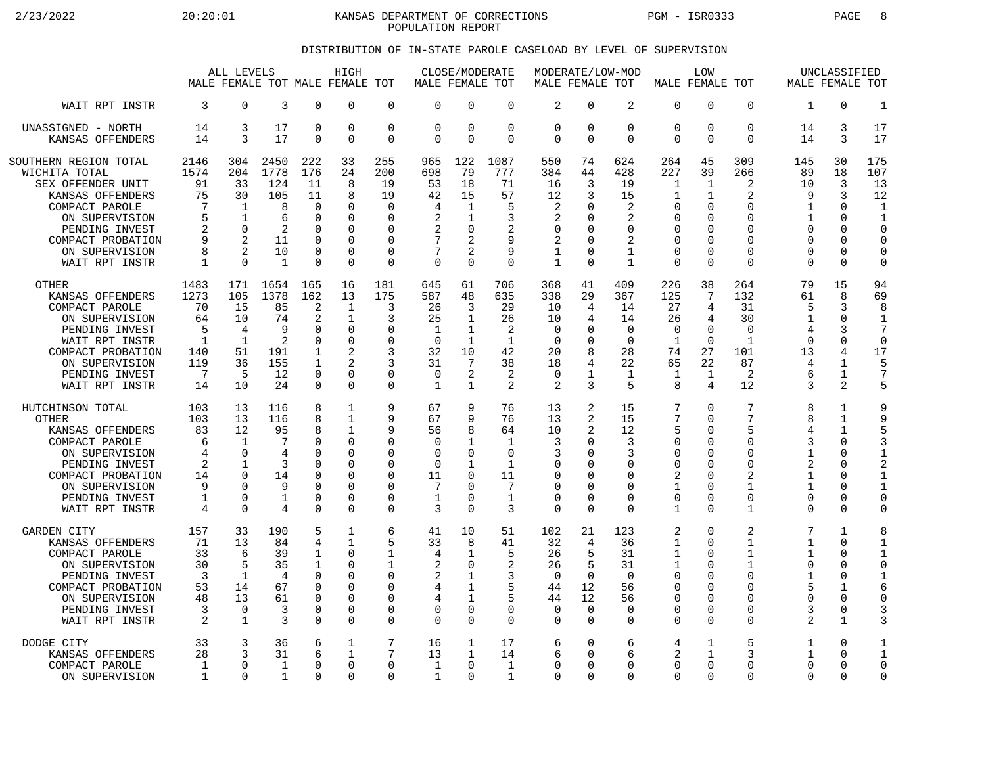2/23/2022 20:20:01 KANSAS DEPARTMENT OF CORRECTIONS PGM - ISR0333 PAGE 8 POPULATION REPORT

## DISTRIBUTION OF IN-STATE PAROLE CASELOAD BY LEVEL OF SUPERVISION

|                                                                                                                                                                                                |                                                                     | ALL LEVELS<br>MALE FEMALE TOT MALE FEMALE TOT                                              |                                                            |                                                                           | HIGH                                                                                       |                                                                              | MALE FEMALE TOT                                             | CLOSE/MODERATE                                                        |                                                              | MODERATE/LOW-MOD<br>MALE FEMALE TOT                                    |                                                      |                                                                                  | MALE FEMALE TOT                                                                              | LOW                                                                                     |                                                                                                 |                                                                                              | UNCLASSIFIED<br>MALE FEMALE TOT                                                               |                                                                                                      |
|------------------------------------------------------------------------------------------------------------------------------------------------------------------------------------------------|---------------------------------------------------------------------|--------------------------------------------------------------------------------------------|------------------------------------------------------------|---------------------------------------------------------------------------|--------------------------------------------------------------------------------------------|------------------------------------------------------------------------------|-------------------------------------------------------------|-----------------------------------------------------------------------|--------------------------------------------------------------|------------------------------------------------------------------------|------------------------------------------------------|----------------------------------------------------------------------------------|----------------------------------------------------------------------------------------------|-----------------------------------------------------------------------------------------|-------------------------------------------------------------------------------------------------|----------------------------------------------------------------------------------------------|-----------------------------------------------------------------------------------------------|------------------------------------------------------------------------------------------------------|
| WAIT RPT INSTR                                                                                                                                                                                 | 3                                                                   | $\mathbf 0$                                                                                | 3                                                          | $\Omega$                                                                  | $\Omega$                                                                                   | $\mathbf 0$                                                                  | $\mathbf 0$                                                 | $\Omega$                                                              | $\Omega$                                                     | $\overline{2}$                                                         | $\mathbf 0$                                          | $\overline{2}$                                                                   | $\Omega$                                                                                     | 0                                                                                       | $\Omega$                                                                                        | 1                                                                                            | $\Omega$                                                                                      | $\mathbf{1}$                                                                                         |
| UNASSIGNED - NORTH                                                                                                                                                                             | 14                                                                  | 3                                                                                          | 17                                                         | 0                                                                         | $\Omega$                                                                                   | $\mathbf 0$                                                                  | $\mathbf 0$                                                 | $\mathbf 0$                                                           | $\mathbf 0$                                                  | $\mathbf 0$                                                            | $\mathbf 0$                                          | 0                                                                                | $\Omega$                                                                                     | 0                                                                                       | $\mathbf 0$                                                                                     | 14                                                                                           | 3                                                                                             | 17                                                                                                   |
| KANSAS OFFENDERS                                                                                                                                                                               | 14                                                                  | 3                                                                                          | 17                                                         | $\Omega$                                                                  | $\Omega$                                                                                   | $\Omega$                                                                     | $\Omega$                                                    | $\Omega$                                                              | $\Omega$                                                     | $\Omega$                                                               | $\Omega$                                             | $\Omega$                                                                         | $\Omega$                                                                                     | $\Omega$                                                                                | $\Omega$                                                                                        | 14                                                                                           | 3                                                                                             | 17                                                                                                   |
| SOUTHERN REGION TOTAL<br>WICHITA TOTAL<br>SEX OFFENDER UNIT<br>KANSAS OFFENDERS<br>COMPACT PAROLE<br>ON SUPERVISION<br>PENDING INVEST<br>COMPACT PROBATION<br>ON SUPERVISION<br>WAIT RPT INSTR | 2146<br>1574<br>91<br>75<br>7<br>5<br>$\overline{2}$<br>9<br>8<br>1 | 304<br>204<br>33<br>30<br>1<br>$\mathbf{1}$<br>$\Omega$<br>2<br>$\overline{2}$<br>$\Omega$ | 2450<br>1778<br>124<br>105<br>8<br>6<br>2<br>11<br>10<br>1 | 222<br>176<br>11<br>11<br>$\Omega$<br>∩<br>$\Omega$<br>U<br>0<br>$\Omega$ | 33<br>24<br>8<br>8<br>$\Omega$<br>$\Omega$<br>$\Omega$<br>$\Omega$<br>$\Omega$<br>$\Omega$ | 255<br>200<br>19<br>19<br>$\mathbf 0$<br>$\Omega$<br>0<br>0<br>0<br>$\Omega$ | 965<br>698<br>53<br>42<br>4<br>2<br>2<br>7<br>7<br>$\Omega$ | 122<br>79<br>18<br>15<br>$\mathbf{1}$<br>1<br>0<br>2<br>2<br>$\Omega$ | 1087<br>777<br>71<br>57<br>5<br>3<br>2<br>9<br>9<br>$\Omega$ | 550<br>384<br>16<br>12<br>2<br>2<br>$\Omega$<br>2<br>1<br>$\mathbf{1}$ | 74<br>44<br>3<br>3<br>$\Omega$<br>U<br>U<br>$\Omega$ | 624<br>428<br>19<br>15<br>2<br>2<br>$\Omega$<br>2<br>$\mathbf 1$<br>$\mathbf{1}$ | 264<br>227<br>$\mathbf{1}$<br>1<br>$\Omega$<br>$\Omega$<br>0<br>0<br>$\mathbf 0$<br>$\Omega$ | 45<br>39<br>1<br>$\mathbf{1}$<br>0<br>$\Omega$<br>O<br>$\Omega$<br>$\Omega$<br>$\Omega$ | 309<br>266<br>2<br>2<br>$\mathbf 0$<br>$\Omega$<br>$\Omega$<br>$\Omega$<br>$\Omega$<br>$\Omega$ | 145<br>89<br>10<br>9<br>$\mathbf 1$<br>$\mathbf{1}$<br>$\Omega$<br>U<br>$\Omega$<br>$\Omega$ | 30<br>18<br>3<br>3<br>$\Omega$<br>$\Omega$<br>$\Omega$<br>$\Omega$<br>$\mathbf 0$<br>$\Omega$ | 175<br>107<br>13<br>12<br>$\mathbf 1$<br>$\mathbf{1}$<br>$\Omega$<br>$\Omega$<br>$\circ$<br>$\Omega$ |
| <b>OTHER</b>                                                                                                                                                                                   | 1483                                                                | 171                                                                                        | 1654                                                       | 165                                                                       | 16                                                                                         | 181                                                                          | 645                                                         | 61                                                                    | 706                                                          | 368                                                                    | 41                                                   | 409                                                                              | 226                                                                                          | 38                                                                                      | 264                                                                                             | 79                                                                                           | 15                                                                                            | 94                                                                                                   |
| KANSAS OFFENDERS                                                                                                                                                                               | 1273                                                                | 105                                                                                        | 1378                                                       | 162                                                                       | 13                                                                                         | 175                                                                          | 587                                                         | 48                                                                    | 635                                                          | 338                                                                    | 29                                                   | 367                                                                              | 125                                                                                          | 7                                                                                       | 132                                                                                             | 61                                                                                           | 8                                                                                             | 69                                                                                                   |
| COMPACT PAROLE                                                                                                                                                                                 | 70                                                                  | 15                                                                                         | 85                                                         | 2                                                                         | $\mathbf{1}$                                                                               | 3                                                                            | 26                                                          | 3                                                                     | 29                                                           | 10                                                                     | $\overline{4}$                                       | 14                                                                               | 27                                                                                           | 4                                                                                       | 31                                                                                              | 5                                                                                            | 3                                                                                             | 8                                                                                                    |
| ON SUPERVISION                                                                                                                                                                                 | 64                                                                  | 10                                                                                         | 74                                                         | 2                                                                         | 1                                                                                          | 3                                                                            | 25                                                          | $\mathbf{1}$                                                          | 26                                                           | 10                                                                     | 4                                                    | 14                                                                               | 26                                                                                           | 4                                                                                       | 30                                                                                              | 1                                                                                            | $\Omega$                                                                                      | $\mathbf{1}$                                                                                         |
| PENDING INVEST                                                                                                                                                                                 | 5                                                                   | 4                                                                                          | 9                                                          | 0                                                                         | $\Omega$                                                                                   | 0                                                                            | $\mathbf{1}$                                                | $\mathbf{1}$                                                          | 2                                                            | $\mathbf 0$                                                            | $\Omega$                                             | $\Omega$                                                                         | $\mathbf 0$                                                                                  | $\Omega$                                                                                | $\mathbf 0$                                                                                     | $\overline{4}$                                                                               | 3                                                                                             | 7                                                                                                    |
| WAIT RPT INSTR                                                                                                                                                                                 | $\mathbf{1}$                                                        | $\mathbf{1}$                                                                               | 2                                                          | $\Omega$                                                                  | $\Omega$                                                                                   | 0                                                                            | $\Omega$                                                    | $\mathbf{1}$                                                          | $\mathbf{1}$                                                 | $\Omega$                                                               | $\Omega$                                             | $\Omega$                                                                         | $\mathbf{1}$                                                                                 | $\Omega$                                                                                | $\mathbf{1}$                                                                                    | $\Omega$                                                                                     | $\Omega$                                                                                      | $\mathbf 0$                                                                                          |
| COMPACT PROBATION                                                                                                                                                                              | 140                                                                 | 51                                                                                         | 191                                                        | 1                                                                         | $\overline{c}$                                                                             | 3                                                                            | 32                                                          | 10                                                                    | 42                                                           | 20                                                                     | 8                                                    | 28                                                                               | 74                                                                                           | 27                                                                                      | 101                                                                                             | 13                                                                                           | 4                                                                                             | 17                                                                                                   |
| ON SUPERVISION                                                                                                                                                                                 | 119                                                                 | 36                                                                                         | 155                                                        | $\mathbf{1}$                                                              | $\mathfrak{D}$                                                                             | 3                                                                            | 31                                                          | 7                                                                     | 38                                                           | 18                                                                     | 4                                                    | 22                                                                               | 65                                                                                           | 22                                                                                      | 87                                                                                              | 4                                                                                            | $\mathbf{1}$                                                                                  | 5                                                                                                    |
| PENDING INVEST                                                                                                                                                                                 | 7                                                                   | 5                                                                                          | 12                                                         | $\Omega$                                                                  | $\Omega$                                                                                   | 0                                                                            | $\mathbf 0$                                                 | 2                                                                     | 2                                                            | $\mathbf 0$                                                            | 1                                                    | 1                                                                                | $\mathbf{1}$                                                                                 | 1                                                                                       | 2                                                                                               | 6                                                                                            | $\mathbf 1$                                                                                   | 7                                                                                                    |
| WAIT RPT INSTR                                                                                                                                                                                 | 14                                                                  | 10                                                                                         | 24                                                         | $\Omega$                                                                  | $\Omega$                                                                                   | 0                                                                            | $\mathbf{1}$                                                | $\mathbf{1}$                                                          | 2                                                            | $\mathfrak{D}$                                                         | 3                                                    | 5                                                                                | 8                                                                                            | 4                                                                                       | 12                                                                                              | 3                                                                                            | 2                                                                                             | 5                                                                                                    |
| HUTCHINSON TOTAL                                                                                                                                                                               | 103                                                                 | 13                                                                                         | 116                                                        | 8                                                                         | 1                                                                                          | 9                                                                            | 67                                                          | 9                                                                     | 76                                                           | 13                                                                     | 2                                                    | 15                                                                               | 7                                                                                            | $\Omega$                                                                                | 7                                                                                               | 8                                                                                            | 1                                                                                             | 9                                                                                                    |
| <b>OTHER</b>                                                                                                                                                                                   | 103                                                                 | 13                                                                                         | 116                                                        | 8                                                                         | $\mathbf{1}$                                                                               | 9                                                                            | 67                                                          | 9                                                                     | 76                                                           | 13                                                                     | 2                                                    | 15                                                                               | 7                                                                                            | 0                                                                                       | 7                                                                                               | 8                                                                                            | $\mathbf{1}$                                                                                  | 9                                                                                                    |
| KANSAS OFFENDERS                                                                                                                                                                               | 83                                                                  | 12                                                                                         | 95                                                         | 8                                                                         | 1                                                                                          | 9                                                                            | 56                                                          | 8                                                                     | 64                                                           | 10                                                                     | 2                                                    | 12                                                                               | 5                                                                                            | $\Omega$                                                                                | 5                                                                                               | 4                                                                                            | 1                                                                                             | 5                                                                                                    |
| COMPACT PAROLE                                                                                                                                                                                 | 6                                                                   | $\mathbf 1$                                                                                | 7                                                          | U                                                                         | $\Omega$                                                                                   | 0                                                                            | 0                                                           | $\mathbf{1}$                                                          | 1                                                            | 3                                                                      | U                                                    | 3                                                                                | $\Omega$                                                                                     | 0                                                                                       | $\mathbf 0$                                                                                     | ζ                                                                                            | $\Omega$                                                                                      | 3                                                                                                    |
| ON SUPERVISION                                                                                                                                                                                 | 4                                                                   | $\Omega$                                                                                   | 4                                                          | N                                                                         | $\Omega$                                                                                   | 0                                                                            | $\mathbf 0$                                                 | $\Omega$                                                              | $\Omega$                                                     | 3                                                                      | O                                                    | 3                                                                                | $\Omega$                                                                                     | $\Omega$                                                                                | $\mathbf 0$                                                                                     | $\mathbf{1}$                                                                                 | $\Omega$                                                                                      | $\mathbf{1}$                                                                                         |
| PENDING INVEST                                                                                                                                                                                 | 2                                                                   | 1                                                                                          | 3                                                          | U                                                                         | $\Omega$                                                                                   | 0                                                                            | 0                                                           | -1                                                                    | 1                                                            | 0                                                                      | U                                                    | $\Omega$                                                                         | 0                                                                                            | O                                                                                       | $\Omega$                                                                                        | 2                                                                                            | $\cap$                                                                                        | $\overline{c}$                                                                                       |
| COMPACT PROBATION                                                                                                                                                                              | 14                                                                  | $\Omega$                                                                                   | 14                                                         | O                                                                         | $\Omega$                                                                                   | 0                                                                            | 11                                                          | $\Omega$                                                              | 11                                                           | $\Omega$                                                               | U                                                    | $\Omega$                                                                         | 2                                                                                            | $\Omega$                                                                                | 2                                                                                               | $\mathbf{1}$                                                                                 | $\Omega$                                                                                      | $\mathbf{1}$                                                                                         |
| ON SUPERVISION                                                                                                                                                                                 | 9                                                                   | $\Omega$                                                                                   | 9                                                          | $\Omega$                                                                  | ∩                                                                                          | 0                                                                            | 7                                                           | $\Omega$                                                              | 7                                                            | $\Omega$                                                               | U                                                    | $\Omega$                                                                         | $\mathbf{1}$                                                                                 | $\Omega$                                                                                | $\mathbf{1}$                                                                                    | $\mathbf{1}$                                                                                 | $\Omega$                                                                                      | $\mathbf{1}$                                                                                         |
| PENDING INVEST                                                                                                                                                                                 | $\mathbf 1$                                                         | $\mathbf 0$                                                                                | 1                                                          | 0                                                                         | $\Omega$                                                                                   | 0                                                                            | 1                                                           | 0                                                                     | $\mathbf{1}$                                                 | 0                                                                      | 0                                                    | 0                                                                                | $\mathbf 0$                                                                                  | 0                                                                                       | 0                                                                                               | 0                                                                                            | $\Omega$                                                                                      | $\circ$                                                                                              |
| WAIT RPT INSTR                                                                                                                                                                                 | $\overline{4}$                                                      | $\Omega$                                                                                   | 4                                                          | $\Omega$                                                                  | $\Omega$                                                                                   | 0                                                                            | 3                                                           | $\Omega$                                                              | 3                                                            | $\Omega$                                                               | $\Omega$                                             | $\Omega$                                                                         | $\mathbf{1}$                                                                                 | $\Omega$                                                                                | $\mathbf{1}$                                                                                    | 0                                                                                            | $\Omega$                                                                                      | $\Omega$                                                                                             |
| GARDEN CITY                                                                                                                                                                                    | 157                                                                 | 33                                                                                         | 190                                                        | 5                                                                         | 1                                                                                          | 6                                                                            | 41                                                          | 10                                                                    | 51                                                           | 102                                                                    | 21                                                   | 123                                                                              | 2                                                                                            | 0                                                                                       | 2                                                                                               | 7                                                                                            | 1                                                                                             | 8                                                                                                    |
| KANSAS OFFENDERS                                                                                                                                                                               | 71                                                                  | 13                                                                                         | 84                                                         | 4                                                                         | $\mathbf{1}$                                                                               | 5                                                                            | 33                                                          | 8                                                                     | 41                                                           | 32                                                                     | 4                                                    | 36                                                                               | $\mathbf{1}$                                                                                 | $\Omega$                                                                                | $\mathbf{1}$                                                                                    | $\mathbf 1$                                                                                  | $\Omega$                                                                                      | $\mathbf{1}$                                                                                         |
| COMPACT PAROLE                                                                                                                                                                                 | 33                                                                  | 6                                                                                          | 39                                                         | 1                                                                         | ∩                                                                                          | 1                                                                            | 4                                                           | 1                                                                     | 5                                                            | 26                                                                     | 5                                                    | 31                                                                               | $\mathbf{1}$                                                                                 | O                                                                                       | $\mathbf{1}$                                                                                    | 1                                                                                            | $\Omega$                                                                                      | $\mathbf{1}$                                                                                         |
| ON SUPERVISION                                                                                                                                                                                 | 30                                                                  | 5                                                                                          | 35                                                         | 1                                                                         | $\Omega$                                                                                   | $\mathbf 1$                                                                  | 2                                                           | 0                                                                     | 2                                                            | 26                                                                     | 5                                                    | 31                                                                               | $\mathbf{1}$                                                                                 | 0                                                                                       | $\mathbf{1}$                                                                                    | 0                                                                                            | $\Omega$                                                                                      | $\circ$                                                                                              |
| PENDING INVEST                                                                                                                                                                                 | 3                                                                   | $\mathbf{1}$                                                                               | $\overline{4}$                                             | 0                                                                         | $\Omega$                                                                                   | $\Omega$                                                                     | 2                                                           | 1                                                                     | 3                                                            | $\Omega$                                                               | $\Omega$                                             | $\Omega$                                                                         | $\Omega$                                                                                     | $\Omega$                                                                                | $\Omega$                                                                                        | $\mathbf{1}$                                                                                 | $\Omega$                                                                                      | $\mathbf{1}$                                                                                         |
| COMPACT PROBATION                                                                                                                                                                              | 53                                                                  | 14                                                                                         | 67                                                         | U                                                                         | ∩                                                                                          | O                                                                            | 4                                                           | 1                                                                     | 5                                                            | 44                                                                     | 12                                                   | 56                                                                               | $\Omega$                                                                                     | O                                                                                       | $\Omega$                                                                                        | 5                                                                                            | $\mathbf{1}$                                                                                  | 6                                                                                                    |
| ON SUPERVISION                                                                                                                                                                                 | 48                                                                  | 13                                                                                         | 61                                                         | $\Omega$                                                                  | $\Omega$                                                                                   | 0                                                                            | 4                                                           | $\mathbf{1}$                                                          | 5                                                            | 44                                                                     | 12                                                   | 56                                                                               | $\mathbf 0$                                                                                  | 0                                                                                       | $\Omega$                                                                                        | 0                                                                                            | $\mathbf 0$                                                                                   | $\Omega$                                                                                             |
| PENDING INVEST                                                                                                                                                                                 | 3                                                                   | $\Omega$                                                                                   | 3                                                          | $\Omega$                                                                  | $\Omega$                                                                                   | 0                                                                            | $\Omega$                                                    | $\Omega$                                                              | $\Omega$                                                     | $\Omega$                                                               | $\Omega$                                             | $\Omega$                                                                         | $\Omega$                                                                                     | $\Omega$                                                                                | $\Omega$                                                                                        | 3                                                                                            | $\Omega$                                                                                      | 3                                                                                                    |
| WAIT RPT INSTR                                                                                                                                                                                 | 2                                                                   | $\mathbf{1}$                                                                               | 3                                                          | $\Omega$                                                                  | $\Omega$                                                                                   | 0                                                                            | $\Omega$                                                    | $\Omega$                                                              | $\Omega$                                                     | 0                                                                      | $\Omega$                                             | $\Omega$                                                                         | $\Omega$                                                                                     | $\Omega$                                                                                | $\Omega$                                                                                        | 2                                                                                            | $\mathbf{1}$                                                                                  | 3                                                                                                    |
| DODGE CITY                                                                                                                                                                                     | 33                                                                  | 3                                                                                          | 36                                                         | 6                                                                         | 1                                                                                          | 7                                                                            | 16                                                          | 1                                                                     | 17                                                           | 6                                                                      | $\Omega$                                             | 6                                                                                | 4                                                                                            | 1                                                                                       | 5                                                                                               | 1                                                                                            | $\Omega$                                                                                      | $\mathbf{1}$                                                                                         |
| KANSAS OFFENDERS                                                                                                                                                                               | 28                                                                  | 3                                                                                          | 31                                                         | 6                                                                         | 1                                                                                          | 7                                                                            | 13                                                          | 1                                                                     | 14                                                           | 6                                                                      | $\Omega$                                             | 6                                                                                | 2                                                                                            | 1                                                                                       | 3                                                                                               | 1                                                                                            | $\Omega$                                                                                      | $\mathbf 1$                                                                                          |
| COMPACT PAROLE                                                                                                                                                                                 | 1                                                                   | $\Omega$                                                                                   | 1                                                          | $\Omega$                                                                  | $\Omega$                                                                                   | 0                                                                            | 1                                                           | $\Omega$                                                              | $\mathbf{1}$                                                 | $\Omega$                                                               | $\Omega$                                             | $\Omega$                                                                         | $\mathbf 0$                                                                                  | $\Omega$                                                                                | $\Omega$                                                                                        | $\Omega$                                                                                     | $\Omega$                                                                                      | $\mathbf 0$                                                                                          |
| ON SUPERVISION                                                                                                                                                                                 | 1                                                                   | $\Omega$                                                                                   | 1                                                          | U                                                                         | $\Omega$                                                                                   | 0                                                                            | 1                                                           | $\Omega$                                                              | 1                                                            | $\Omega$                                                               | U                                                    | $\Omega$                                                                         | $\Omega$                                                                                     | $\Omega$                                                                                | $\Omega$                                                                                        | 0                                                                                            | $\Omega$                                                                                      | $\Omega$                                                                                             |